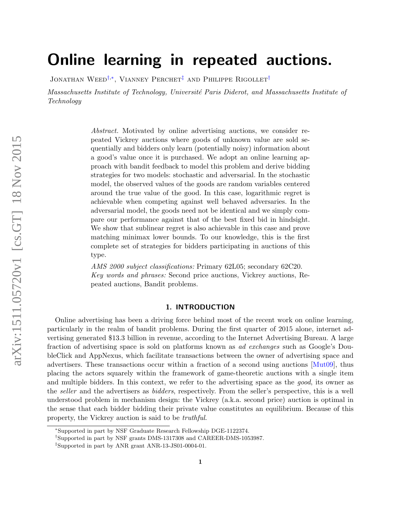# Online learning in repeated auctions.

JONATHAN WEED<sup>[†](#page-0-0),\*</sup>, VIANNEY PERCHET<sup>[‡](#page-0-2)</sup> AND PHILIPPE RIGOLLET<sup>†</sup>

Massachusetts Institute of Technology, Université Paris Diderot, and Massachusetts Institute of Technology

> Abstract. Motivated by online advertising auctions, we consider repeated Vickrey auctions where goods of unknown value are sold sequentially and bidders only learn (potentially noisy) information about a good's value once it is purchased. We adopt an online learning approach with bandit feedback to model this problem and derive bidding strategies for two models: stochastic and adversarial. In the stochastic model, the observed values of the goods are random variables centered around the true value of the good. In this case, logarithmic regret is achievable when competing against well behaved adversaries. In the adversarial model, the goods need not be identical and we simply compare our performance against that of the best fixed bid in hindsight. We show that sublinear regret is also achievable in this case and prove matching minimax lower bounds. To our knowledge, this is the first complete set of strategies for bidders participating in auctions of this type.

> AMS 2000 subject classifications: Primary 62L05; secondary 62C20. Key words and phrases: Second price auctions, Vickrey auctions, Repeated auctions, Bandit problems.

# 1. INTRODUCTION

Online advertising has been a driving force behind most of the recent work on online learning, particularly in the realm of bandit problems. During the first quarter of 2015 alone, internet advertising generated \$13.3 billion in revenue, according to the Internet Advertising Bureau. A large fraction of advertising space is sold on platforms known as ad exchanges such as Google's DoubleClick and AppNexus, which facilitate transactions between the owner of advertising space and advertisers. These transactions occur within a fraction of a second using auctions [\[Mut09\]](#page-22-0), thus placing the actors squarely within the framework of game-theoretic auctions with a single item and multiple bidders. In this context, we refer to the advertising space as the good, its owner as the seller and the advertisers as bidders, respectively. From the seller's perspective, this is a well understood problem in mechanism design: the Vickrey (a.k.a. second price) auction is optimal in the sense that each bidder bidding their private value constitutes an equilibrium. Because of this property, the Vickrey auction is said to be truthful.

<span id="page-0-1"></span><sup>∗</sup>Supported in part by NSF Graduate Research Fellowship DGE-1122374.

<span id="page-0-0"></span><sup>†</sup>Supported in part by NSF grants DMS-1317308 and CAREER-DMS-1053987.

<span id="page-0-2"></span><sup>‡</sup>Supported in part by ANR grant ANR-13-JS01-0004-01.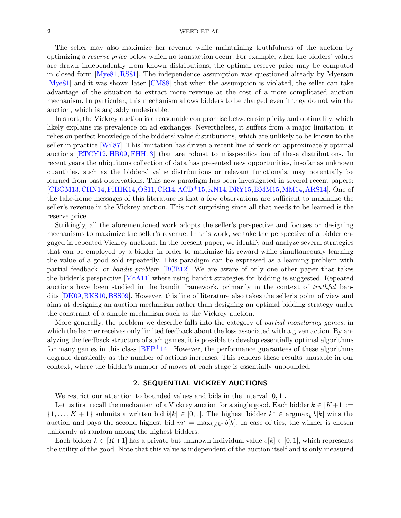The seller may also maximize her revenue while maintaining truthfulness of the auction by optimizing a reserve price below which no transaction occur. For example, when the bidders' values are drawn independently from known distributions, the optimal reserve price may be computed in closed form [\[Mye81,](#page-22-1) [RS81\]](#page-23-0). The independence assumption was questioned already by Myerson [\[Mye81\]](#page-22-1) and it was shown later [\[CM88\]](#page-21-0) that when the assumption is violated, the seller can take advantage of the situation to extract more revenue at the cost of a more complicated auction mechanism. In particular, this mechanism allows bidders to be charged even if they do not win the auction, which is arguably undesirable.

In short, the Vickrey auction is a reasonable compromise between simplicity and optimality, which likely explains its prevalence on ad exchanges. Nevertheless, it suffers from a major limitation: it relies on perfect knowledge of the bidders' value distributions, which are unlikely to be known to the seller in practice [\[Wil87\]](#page-23-1). This limitation has driven a recent line of work on approximately optimal auctions [\[RTCY12,](#page-23-2) [HR09,](#page-22-2) [FHH13\]](#page-22-3) that are robust to misspecification of these distributions. In recent years the ubiquitous collection of data has presented new opportunities, insofar as unknown quantities, such as the bidders' value distributions or relevant functionals, may potentially be learned from past observations. This new paradigm has been investigated in several recent papers: [\[CBGM13,](#page-21-1)[CHN14,](#page-21-2)[FHHK14,](#page-22-4)[OS11,](#page-22-5)[CR14,](#page-21-3)[ACD](#page-21-4)+15,[KN14,](#page-22-6)[DRY15,](#page-22-7)[BMM15,](#page-21-5)[MM14,](#page-22-8)[ARS14\]](#page-21-6). One of the take-home messages of this literature is that a few observations are sufficient to maximize the seller's revenue in the Vickrey auction. This not surprising since all that needs to be learned is the reserve price.

Strikingly, all the aforementioned work adopts the seller's perspective and focuses on designing mechanisms to maximize the seller's revenue. In this work, we take the perspective of a bidder engaged in repeated Vickrey auctions. In the present paper, we identify and analyze several strategies that can be employed by a bidder in order to maximize his reward while simultaneously learning the value of a good sold repeatedly. This paradigm can be expressed as a learning problem with partial feedback, or bandit problem [\[BCB12\]](#page-21-7). We are aware of only one other paper that takes the bidder's perspective [\[McA11\]](#page-22-9) where using bandit strategies for bidding is suggested. Repeated auctions have been studied in the bandit framework, primarily in the context of truthful bandits [\[DK09,](#page-22-10)[BKS10,](#page-21-8)[BSS09\]](#page-21-9). However, this line of literature also takes the seller's point of view and aims at designing an auction mechanism rather than designing an optimal bidding strategy under the constraint of a simple mechanism such as the Vickrey auction.

More generally, the problem we describe falls into the category of partial monitoring games, in which the learner receives only limited feedback about the loss associated with a given action. By analyzing the feedback structure of such games, it is possible to develop essentially optimal algorithms for many games in this class  $[BFP+14]$  $[BFP+14]$ . However, the performance guarantees of these algorithms degrade drastically as the number of actions increases. This renders these results unusable in our context, where the bidder's number of moves at each stage is essentially unbounded.

# 2. SEQUENTIAL VICKREY AUCTIONS

We restrict our attention to bounded values and bids in the interval  $[0, 1]$ .

Let us first recall the mechanism of a Vickrey auction for a single good. Each bidder  $k \in [K+1] :=$  $\{1,\ldots,K+1\}$  submits a written bid  $b[k] \in [0,1]$ . The highest bidder  $k^* \in \text{argmax}_k b[k]$  wins the auction and pays the second highest bid  $m^* = \max_{k \neq k^*} b[k]$ . In case of ties, the winner is chosen uniformly at random among the highest bidders.

Each bidder  $k \in [K+1]$  has a private but unknown individual value  $v[k] \in [0,1]$ , which represents the utility of the good. Note that this value is independent of the auction itself and is only measured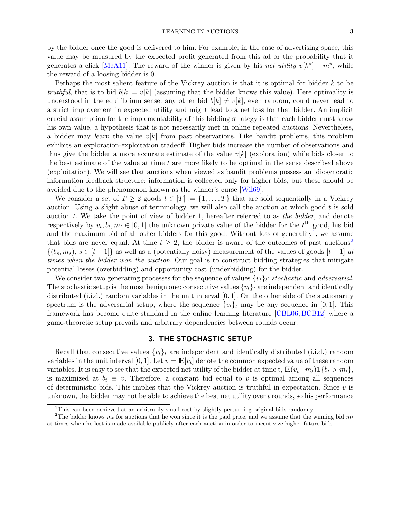by the bidder once the good is delivered to him. For example, in the case of advertising space, this value may be measured by the expected profit generated from this ad or the probability that it generates a click [\[McA11\]](#page-22-9). The reward of the winner is given by his net utility  $v[k^*]-m^*$ , while the reward of a loosing bidder is 0.

Perhaps the most salient feature of the Vickrey auction is that it is optimal for bidder k to be truthful, that is to bid  $b[k] = v[k]$  (assuming that the bidder knows this value). Here optimality is understood in the equilibrium sense: any other bid  $b[k] \neq v[k]$ , even random, could never lead to a strict improvement in expected utility and might lead to a net loss for that bidder. An implicit crucial assumption for the implementability of this bidding strategy is that each bidder must know his own value, a hypothesis that is not necessarily met in online repeated auctions. Nevertheless, a bidder may learn the value  $v[k]$  from past observations. Like bandit problems, this problem exhibits an exploration-exploitation tradeoff: Higher bids increase the number of observations and thus give the bidder a more accurate estimate of the value  $v[k]$  (exploration) while bids closer to the best estimate of the value at time t are more likely to be optimal in the sense described above (exploitation). We will see that auctions when viewed as bandit problems possess an idiosyncratic information feedback structure: information is collected only for higher bids, but these should be avoided due to the phenomenon known as the winner's curse [\[Wil69\]](#page-23-3).

We consider a set of  $T \geq 2$  goods  $t \in [T] := \{1, \ldots, T\}$  that are sold sequentially in a Vickrey auction. Using a slight abuse of terminology, we will also call the auction at which good  $t$  is sold auction  $t$ . We take the point of view of bidder 1, hereafter referred to as the bidder, and denote respectively by  $v_t, b_t, m_t \in [0, 1]$  the unknown private value of the bidder for the  $t^{\text{th}}$  good, his bid and the maximum bid of all other bidders for this good. Without loss of generality<sup>[1](#page-2-0)</sup>, we assume that bids are never equal. At time  $t \geq 2$  $t \geq 2$ , the bidder is aware of the outcomes of past auctions<sup>2</sup>  $\{(b_s, m_s), s \in [t-1]\}\$ as well as a (potentially noisy) measurement of the values of goods  $[t-1]$  at times when the bidder won the auction. Our goal is to construct bidding strategies that mitigate potential losses (overbidding) and opportunity cost (underbidding) for the bidder.

We consider two generating processes for the sequence of values  $\{v_t\}_t$ : stochastic and adversarial. The stochastic setup is the most benign one: consecutive values  $\{v_t\}_t$  are independent and identically distributed (i.i.d.) random variables in the unit interval  $[0, 1]$ . On the other side of the stationarity spectrum is the adversarial setup, where the sequence  $\{v_t\}_t$  may be any sequence in [0, 1]. This framework has become quite standard in the online learning literature [\[CBL06,](#page-21-11) [BCB12\]](#page-21-7) where a game-theoretic setup prevails and arbitrary dependencies between rounds occur.

# 3. THE STOCHASTIC SETUP

Recall that consecutive values  $\{v_t\}_t$  are independent and identically distributed (i.i.d.) random variables in the unit interval [0, 1]. Let  $v = \mathbb{E}[v_t]$  denote the common expected value of these random variables. It is easy to see that the expected net utility of the bidder at time t,  $\mathbb{E}(v_t-m_t) \mathbb{1}\{b_t > m_t\}$ , is maximized at  $b_t \equiv v$ . Therefore, a constant bid equal to v is optimal among all sequences of deterministic bids. This implies that the Vickrey auction is truthful in expectation. Since  $v$  is unknown, the bidder may not be able to achieve the best net utility over  $t$  rounds, so his performance

<span id="page-2-1"></span><span id="page-2-0"></span><sup>&</sup>lt;sup>1</sup>This can been achieved at an arbitrarily small cost by slightly perturbing original bids randomly.

<sup>&</sup>lt;sup>2</sup>The bidder knows  $m_t$  for auctions that he won since it is the paid price, and we assume that the winning bid  $m_t$ at times when he lost is made available publicly after each auction in order to incentivize higher future bids.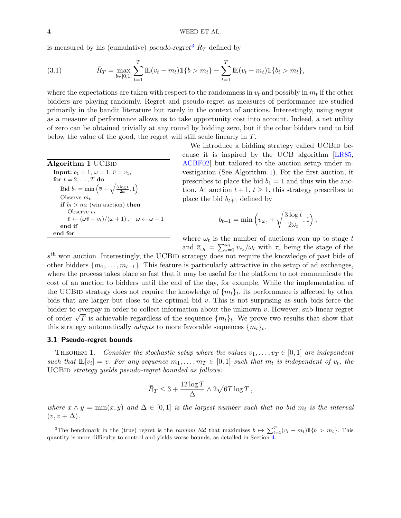is measured by his (cumulative) *pseudo-regret*<sup>[3](#page-3-0)</sup>  $\bar{R}_T$  defined by

<span id="page-3-3"></span>(3.1) 
$$
\bar{R}_T = \max_{b \in [0,1]} \sum_{t=1}^T \mathbb{E}(v_t - m_t) \mathbb{1}\{b > m_t\} - \sum_{t=1}^T \mathbb{E}(v_t - m_t) \mathbb{1}\{b_t > m_t\},
$$

where the expectations are taken with respect to the randomness in  $v_t$  and possibly in  $m_t$  if the other bidders are playing randomly. Regret and pseudo-regret as measures of performance are studied primarily in the bandit literature but rarely in the context of auctions. Interestingly, using regret as a measure of performance allows us to take opportunity cost into account. Indeed, a net utility of zero can be obtained trivially at any round by bidding zero, but if the other bidders tend to bid below the value of the good, the regret will still scale linearly in T.

| Algorithm 1 UCB <sub>ID</sub>                                                                          |
|--------------------------------------------------------------------------------------------------------|
| <b>Input:</b> $b_1 = 1, \omega = 1, \bar{v} = v_1$ ,                                                   |
| for $t = 2, \ldots, T$ do                                                                              |
| Bid $b_t = \min\left(\overline{v} + \sqrt{\frac{3\log t}{2\omega}}, 1\right)$                          |
| Observe $m_t$                                                                                          |
| if $b_t > m_t$ (win auction) then                                                                      |
| Observe $v_t$                                                                                          |
| $\overline{v} \leftarrow (\omega \overline{v} + v_t)/(\omega + 1), \quad \omega \leftarrow \omega + 1$ |
| end if                                                                                                 |
| end for                                                                                                |
|                                                                                                        |

We introduce a bidding strategy called UCBID because it is inspired by the UCB algorithm [\[LR85,](#page-22-11) [ACBF02\]](#page-21-12) but tailored to the auction setup under investigation (See Algorithm [1\)](#page-3-1). For the first auction, it prescribes to place the bid  $b_1 = 1$  and thus win the auction. At auction  $t + 1$ ,  $t \geq 1$ , this strategy prescribes to place the bid  $b_{t+1}$  defined by

$$
b_{t+1} = \min\left(\overline{v}_{\omega_t} + \sqrt{\frac{3\log t}{2\omega_t}}, 1\right),\,
$$

where  $\omega_t$  is the number of auctions won up to stage t and  $\overline{v}_{\omega_t} = \sum_{s=1}^{\omega_t} v_{\tau_s}/\omega_t$  with  $\tau_s$  being the stage of the

<span id="page-3-1"></span> $s<sup>th</sup>$  won auction. Interestingly, the UCBID strategy does not require the knowledge of past bids of other bidders  $\{m_1, \ldots, m_{t-1}\}\$ . This feature is particularly attractive in the setup of ad exchanges, where the process takes place so fast that it may be useful for the platform to not communicate the cost of an auction to bidders until the end of the day, for example. While the implementation of the UCBID strategy does not require the knowledge of  $\{m_t\}_t$ , its performance is affected by other bids that are larger but close to the optimal bid  $v$ . This is not surprising as such bids force the bidder to overpay in order to collect information about the unknown v. However, sub-linear regret bidder to overpay in order to collect information about the unknown v. However, sub-linear regret<br>of order  $\sqrt{T}$  is achievable regardless of the sequence  $\{m_t\}_t$ . We prove two results that show that this strategy automatically *adapts* to more favorable sequences  $\{m_t\}_t$ .

#### 3.1 Pseudo-regret bounds

<span id="page-3-2"></span>THEOREM 1. Consider the stochastic setup where the values  $v_1, \ldots, v_T \in [0, 1]$  are independent such that  $\mathbb{E}[v_i] = v$ . For any sequence  $m_1, \ldots, m_T \in [0,1]$  such that  $m_t$  is independent of  $v_t$ , the UCBID strategy yields pseudo-regret bounded as follows:

$$
\bar{R}_T \leq 3 + \frac{12 \log T}{\Delta} \wedge 2\sqrt{6T \log T},
$$

where  $x \wedge y = \min(x, y)$  and  $\Delta \in [0, 1]$  is the largest number such that no bid  $m_t$  is the interval  $(v, v + \Delta).$ 

<span id="page-3-0"></span><sup>&</sup>lt;sup>3</sup>The benchmark in the (true) regret is the *random bid* that maximizes  $b \mapsto \sum_{t=1}^{T} (v_t - m_t) \mathbb{1}{b > m_t}$ . This quantity is more difficulty to control and yields worse bounds, as detailed in Section [4.](#page-10-0)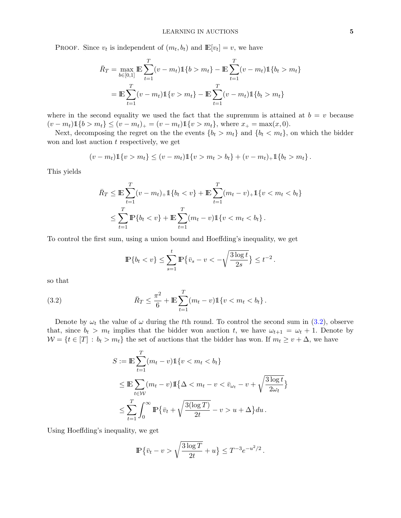PROOF. Since  $v_t$  is independent of  $(m_t, b_t)$  and  $\mathbb{E}[v_t] = v$ , we have

$$
\bar{R}_T = \max_{b \in [0,1]} \mathbb{E} \sum_{t=1}^T (v - m_t) \mathbb{1}\{b > m_t\} - \mathbb{E} \sum_{t=1}^T (v - m_t) \mathbb{1}\{b_t > m_t\}
$$

$$
= \mathbb{E} \sum_{t=1}^T (v - m_t) \mathbb{1}\{v > m_t\} - \mathbb{E} \sum_{t=1}^T (v - m_t) \mathbb{1}\{b_t > m_t\}
$$

where in the second equality we used the fact that the supremum is attained at  $b = v$  because  $(v - m_t) \mathbb{1}{b > m_t} \le (v - m_t)_+ = (v - m_t) \mathbb{1}{v > m_t}$ , where  $x_+ = \max(x, 0)$ .

Next, decomposing the regret on the the events  ${b_t > m_t}$  and  ${b_t < m_t}$ , on which the bidder won and lost auction  $t$  respectively, we get

$$
(v - m_t) \mathbb{1}\{v > m_t\} \le (v - m_t) \mathbb{1}\{v > m_t > b_t\} + (v - m_t)_+ \mathbb{1}\{b_t > m_t\}.
$$

This yields

$$
\bar{R}_T \leq \mathbb{E} \sum_{t=1}^T (v - m_t)_+ \mathbb{1} \{b_t < v\} + \mathbb{E} \sum_{t=1}^T (m_t - v)_+ \mathbb{1} \{v < m_t < b_t\}
$$
\n
$$
\leq \sum_{t=1}^T \mathbb{P} \{b_t < v\} + \mathbb{E} \sum_{t=1}^T (m_t - v) \mathbb{1} \{v < m_t < b_t\}.
$$

To control the first sum, using a union bound and Hoeffding's inequality, we get

<span id="page-4-0"></span>
$$
\mathbb{P}\{b_t < v\} \le \sum_{s=1}^t \mathbb{P}\{\bar{v}_s - v < -\sqrt{\frac{3\log t}{2s}}\} \le t^{-2}.
$$

so that

(3.2) 
$$
\bar{R}_T \leq \frac{\pi^2}{6} + \mathbb{E} \sum_{t=1}^T (m_t - v) \mathbb{1} \{ v < m_t < b_t \} \, .
$$

Denote by  $\omega_t$  the value of  $\omega$  during the tth round. To control the second sum in [\(3.2\)](#page-4-0), observe that, since  $b_t > m_t$  implies that the bidder won auction t, we have  $\omega_{t+1} = \omega_t + 1$ . Denote by  $W = \{t \in [T] : b_t > m_t\}$  the set of auctions that the bidder has won. If  $m_t \ge v + \Delta$ , we have

$$
S := \mathbb{E} \sum_{t=1}^{T} (m_t - v) \mathbb{1} \{v < m_t < b_t\}
$$
\n
$$
\leq \mathbb{E} \sum_{t \in \mathcal{W}} (m_t - v) \mathbb{1} \{ \Delta < m_t - v < \bar{v}_{\omega_t} - v + \sqrt{\frac{3 \log t}{2 \omega_t}} \}
$$
\n
$$
\leq \sum_{t=1}^{T} \int_0^\infty \mathbb{P} \{ \bar{v}_t + \sqrt{\frac{3(\log T)}{2t}} - v > u + \Delta \} du \, .
$$

Using Hoeffding's inequality, we get

$$
\mathbb{P}\{\bar{v}_t - v > \sqrt{\frac{3\log T}{2t}} + u\} \le T^{-3}e^{-u^2/2}.
$$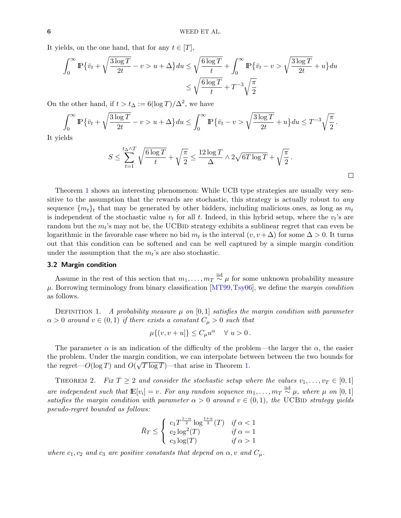It yields, on the one hand, that for any  $t \in [T]$ ,

$$
\int_0^\infty \mathbb{P}\left\{\bar{v}_t + \sqrt{\frac{3\log T}{2t}} - v > u + \Delta\right\} du \le \sqrt{\frac{6\log T}{t}} + \int_0^\infty \mathbb{P}\left\{\bar{v}_t - v > \sqrt{\frac{3\log T}{2t}} + u\right\} du
$$
\n
$$
\le \sqrt{\frac{6\log T}{t}} + T^{-3}\sqrt{\frac{\pi}{2}}
$$

On the other hand, if  $t > t_{\Delta} := 6(\log T)/\Delta^2$ , we have

$$
\int_0^\infty \mathbb{P}\left\{\bar{v}_t + \sqrt{\frac{3\log T}{2t}} - v > u + \Delta\right\} du \le \int_0^\infty \mathbb{P}\left\{\bar{v}_t - v > \sqrt{\frac{3\log T}{2t}} + u\right\} du \le T^{-3} \sqrt{\frac{\pi}{2}}.
$$

It yields

$$
S \le \sum_{t=1}^{t_{\Delta} \wedge T} \sqrt{\frac{6 \log T}{t}} + \sqrt{\frac{\pi}{2}} \le \frac{12 \log T}{\Delta} \wedge 2\sqrt{6T \log T} + \sqrt{\frac{\pi}{2}}.
$$

Theorem [1](#page-3-2) shows an interesting phenomenon: While UCB type strategies are usually very sensitive to the assumption that the rewards are stochastic, this strategy is actually robust to *any* sequence  $\{m_t\}_t$  that may be generated by other bidders, including malicious ones, as long as  $m_t$ is independent of the stochastic value  $v_t$  for all t. Indeed, in this hybrid setup, where the  $v_t$ 's are random but the  $m_t$ 's may not be, the UCBID strategy exhibits a sublinear regret that can even be logarithmic in the favorable case where no bid  $m_t$  is the interval  $(v, v + \Delta)$  for some  $\Delta > 0$ . It turns out that this condition can be softened and can be well captured by a simple margin condition under the assumption that the  $m_t$ 's are also stochastic.

#### 3.2 Margin condition

Assume in the rest of this section that  $m_1, \ldots, m_T \stackrel{\text{iid}}{\sim} \mu$  for some unknown probability measure  $\mu$ . Borrowing terminology from binary classification [\[MT99,](#page-22-12) [Tsy06\]](#page-23-4), we define the *margin condition* as follows.

DEFINITION 1. A probability measure  $\mu$  on [0,1] satisfies the margin condition with parameter  $\alpha > 0$  around  $v \in (0,1)$  if there exists a constant  $C_{\mu} > 0$  such that

$$
\mu\{(v, v+u]\} \le C_{\mu}u^{\alpha} \quad \forall u > 0.
$$

The parameter  $\alpha$  is an indication of the difficulty of the problem—the larger the  $\alpha$ , the easier the problem. Under the margin condition, we can interpolate between between the two bounds for the regret— $O(\log T)$  and  $O(\sqrt{T \log T})$ —that arise in Theorem [1.](#page-3-2)

<span id="page-5-0"></span>THEOREM 2. Fix  $T \geq 2$  and consider the stochastic setup where the values  $v_1, \ldots, v_T \in [0, 1]$ are independent such that  $\mathbb{E}[v_i] = v$ . For any random sequence  $m_1, \ldots, m_T \stackrel{\text{iid}}{\sim} \mu$ , where  $\mu$  on  $[0,1]$ satisfies the margin condition with parameter  $\alpha > 0$  around  $v \in (0,1)$ , the UCBID strategy yields pseudo-regret bounded as follows:

$$
\bar{R}_T \leq \begin{cases}\n c_1 T^{\frac{1-\alpha}{2}} \log^{\frac{1+\alpha}{2}}(T) & \text{if } \alpha < 1 \\
 c_2 \log^2(T) & \text{if } \alpha = 1 \\
 c_3 \log(T) & \text{if } \alpha > 1\n\end{cases}
$$

where  $c_1, c_2$  and  $c_3$  are positive constants that depend on  $\alpha, \upsilon$  and  $C_{\mu}$ .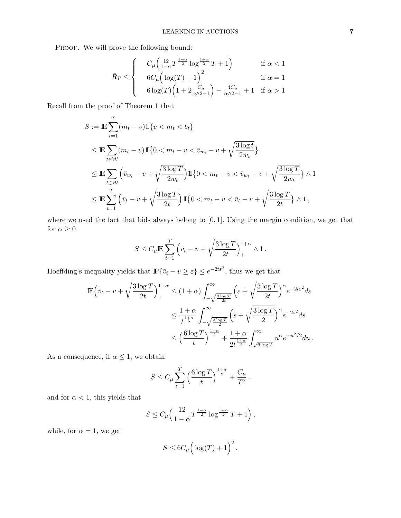PROOF. We will prove the following bound:

$$
\bar{R}_T \le \begin{cases}\nC_\mu \left(\frac{12}{1-\alpha} T^{\frac{1-\alpha}{2}} \log^{\frac{1+\alpha}{2}} T + 1\right) & \text{if } \alpha < 1 \\
6C_\mu \left(\log(T) + 1\right)^2 & \text{if } \alpha = 1\n\end{cases}
$$

$$
\begin{pmatrix} 6\log(T)\left(1+2\frac{C_{\mu}}{\alpha\wedge2-1}\right)+\frac{4C_{\mu}}{\alpha\wedge2-1}+1 & \text{if } \alpha>1 \end{pmatrix}
$$

Recall from the proof of Theorem [1](#page-3-2) that

$$
S := \mathbb{E} \sum_{t=1}^{T} (m_t - v) \mathbb{1} \{v < m_t < b_t\}
$$
\n
$$
\leq \mathbb{E} \sum_{t \in \mathcal{W}} (m_t - v) \mathbb{1} \{0 < m_t - v < \bar{v}_{w_t} - v + \sqrt{\frac{3 \log t}{2w_t}}\}
$$
\n
$$
\leq \mathbb{E} \sum_{t \in \mathcal{W}} \left(\bar{v}_{w_t} - v + \sqrt{\frac{3 \log T}{2w_t}}\right) \mathbb{1} \{0 < m_t - v < \bar{v}_{w_t} - v + \sqrt{\frac{3 \log T}{2w_t}}\} \wedge 1
$$
\n
$$
\leq \mathbb{E} \sum_{t=1}^{T} \left(\bar{v}_t - v + \sqrt{\frac{3 \log T}{2t}}\right) \mathbb{1} \{0 < m_t - v < \bar{v}_t - v + \sqrt{\frac{3 \log T}{2t}}\} \wedge 1,
$$

where we used the fact that bids always belong to [0, 1]. Using the margin condition, we get that for  $\alpha \geq 0$ 

$$
S \leq C_{\mu} \mathbb{E} \sum_{t=1}^{T} \left( \bar{v}_t - v + \sqrt{\frac{3 \log T}{2t}} \right)_{+}^{1+\alpha} \wedge 1.
$$

Hoeffding's inequality yields that  $\mathbb{P}\{\bar{v}_t - v \geq \varepsilon\} \leq e^{-2t\varepsilon^2}$ , thus we get that

$$
\begin{split} \mathbb{E}\Big(\bar{v}_t-v+\sqrt{\frac{3\log T}{2t}}\Big)^{1+\alpha}&\leq (1+\alpha)\int_{-\sqrt{\frac{3\log T}{2t}} }^{\infty}\Big(\varepsilon+\sqrt{\frac{3\log T}{2t}}\Big)^{\alpha}e^{-2t\varepsilon^2}d\varepsilon\\ &\leq \frac{1+\alpha}{t^{\frac{1+\alpha}{2}}}\int_{-\sqrt{\frac{3\log T}{2}} }^{\infty}\Big(s+\sqrt{\frac{3\log T}{2}}\Big)^{\alpha}e^{-2s^2}ds\\ &\leq \Big(\frac{6\log T}{t}\Big)^{\frac{1+\alpha}{2}}+\frac{1+\alpha}{2t^{\frac{1+\alpha}{2}}}\int_{\sqrt{6\log T}}^{\infty}u^{\alpha}e^{-u^2/2}du\,. \end{split}
$$

As a consequence, if  $\alpha \leq 1$ , we obtain

$$
S \leq C_{\mu} \sum_{t=1}^{T} \left(\frac{6 \log T}{t}\right)^{\frac{1+\alpha}{2}} + \frac{C_{\mu}}{T^2}.
$$

and for  $\alpha < 1$ , this yields that

$$
S \le C_{\mu} \left( \frac{12}{1-\alpha} T^{\frac{1-\alpha}{2}} \log^{\frac{1+\alpha}{2}} T + 1 \right),\,
$$

while, for  $\alpha = 1$ , we get

$$
S \leq 6C_{\mu} \Big( \log(T) + 1 \Big)^2.
$$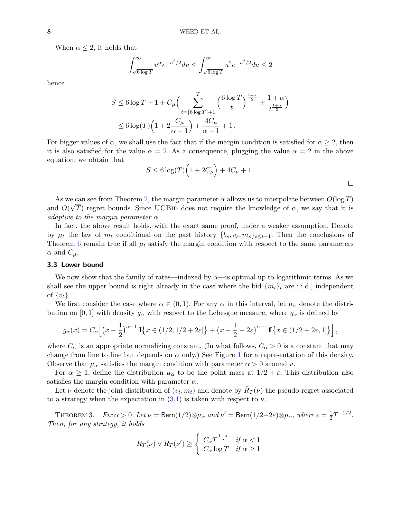When  $\alpha \leq 2$ , it holds that

$$
\int_{\sqrt{6\log T}}^{\infty}u^{\alpha}e^{-u^{2}/2}du\leq \int_{\sqrt{6\log T}}^{\infty}u^{2}e^{-u^{2}/2}du\leq 2
$$

hence

$$
S \le 6 \log T + 1 + C_{\mu} \left( \sum_{t=\lceil 6 \log T \rceil + 1}^{T} \left( \frac{6 \log T}{t} \right)^{\frac{1+\alpha}{2}} + \frac{1+\alpha}{t^{\frac{1+\alpha}{2}}} \right)
$$
  

$$
\le 6 \log(T) \left( 1 + 2 \frac{C_{\mu}}{\alpha - 1} \right) + \frac{4C_{\mu}}{\alpha - 1} + 1.
$$

For bigger values of  $\alpha$ , we shall use the fact that if the margin condition is satisfied for  $\alpha \geq 2$ , then it is also satisfied for the value  $\alpha = 2$ . As a consequence, plugging the value  $\alpha = 2$  in the above equation, we obtain that

$$
S \le 6 \log(T) \Big( 1 + 2C_{\mu} \Big) + 4C_{\mu} + 1.
$$

As we can see from Theorem [2,](#page-5-0) the margin parameter  $\alpha$  allows us to interpolate between  $O(\log T)$ and  $O(\sqrt{T})$  regret bounds. Since UCBID does not require the knowledge of  $\alpha$ , we say that it is adaptive to the margin parameter  $\alpha$ .

In fact, the above result holds, with the exact same proof, under a weaker assumption. Denote by  $\mu_t$  the law of  $m_t$  conditional on the past history  $\{b_s, v_s, m_s\}_{s\leq t-1}$ . Then the conclusions of Theorem [6](#page-15-0) remain true if all  $\mu_t$  satisfy the margin condition with respect to the same parameters  $\alpha$  and  $C_{\mu}$ .

#### 3.3 Lower bound

We now show that the family of rates—indexed by  $\alpha$ —is optimal up to logarithmic terms. As we shall see the upper bound is tight already in the case where the bid  $\{m_t\}_t$  are i.i.d., independent of  $\{v_t\}$ .

We first consider the case where  $\alpha \in (0,1)$ . For any  $\alpha$  in this interval, let  $\mu_{\alpha}$  denote the distribution on [0, 1] with density  $g_{\alpha}$  with respect to the Lebesgue measure, where  $g_{\alpha}$  is defined by

$$
g_{\alpha}(x) = C_{\alpha}\left[\left(x-\frac{1}{2}\right)^{\alpha-1}\mathbb{I}\left\{x \in (1/2, 1/2+2\varepsilon]\right\} + \left(x-\frac{1}{2}-2\varepsilon\right)^{\alpha-1}\mathbb{I}\left\{x \in (1/2+2\varepsilon, 1]\right\}\right],
$$

where  $C_{\alpha}$  is an appropriate normalizing constant. (In what follows,  $C_{\alpha} > 0$  is a constant that may change from line to line but depends on  $\alpha$  only.) See Figure [1](#page-8-0) for a representation of this density. Observe that  $\mu_{\alpha}$  satisfies the margin condition with parameter  $\alpha > 0$  around v.

For  $\alpha \geq 1$ , define the distribution  $\mu_{\alpha}$  to be the point mass at  $1/2 + \varepsilon$ . This distribution also satisfies the margin condition with parameter  $\alpha$ .

Let  $\nu$  denote the joint distribution of  $(v_t, m_t)$  and denote by  $\bar{R}_T(\nu)$  the pseudo-regret associated to a strategy when the expectation in  $(3.1)$  is taken with respect to  $\nu$ .

THEOREM 3. Fix  $\alpha > 0$ . Let  $\nu = \text{Bern}(1/2) \otimes \mu_\alpha$  and  $\nu' = \text{Bern}(1/2 + 2\varepsilon) \otimes \mu_\alpha$ , where  $\varepsilon = \frac{1}{2}$  $\frac{1}{2}T^{-1/2}$ . Then, for any strategy, it holds

$$
\bar{R}_T(\nu) \vee \bar{R}_T(\nu') \ge \begin{cases} C_{\alpha} T^{\frac{1-\alpha}{2}} & \text{if } \alpha < 1\\ C_{\alpha} \log T & \text{if } \alpha \ge 1 \end{cases}
$$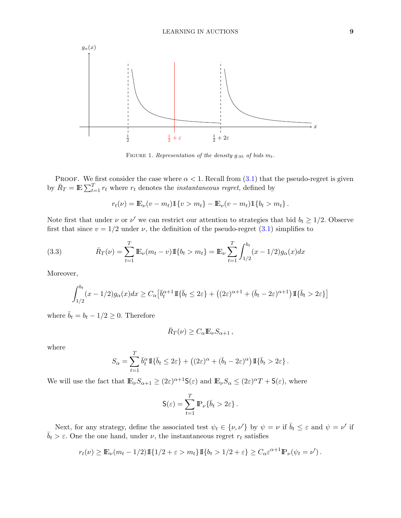

<span id="page-8-0"></span>FIGURE 1. Representation of the density  $g_{.95}$  of bids  $m_t$ .

PROOF. We first consider the case where  $\alpha < 1$ . Recall from [\(3.1\)](#page-3-3) that the pseudo-regret is given by  $\bar{R}_T = \mathbb{E} \sum_{t=1}^T r_t$  where  $r_t$  denotes the *instantaneous regret*, defined by

$$
r_t(\nu) = \mathbb{E}_{\nu}(v - m_t) \mathbb{1}\{v > m_t\} - \mathbb{E}_{\nu}(v - m_t) \mathbb{1}\{b_t > m_t\}.
$$

Note first that under  $\nu$  or  $\nu'$  we can restrict our attention to strategies that bid  $b_t \geq 1/2$ . Observe first that since  $v = 1/2$  under  $\nu$ , the definition of the pseudo-regret  $(3.1)$  simplifies to

(3.3) 
$$
\bar{R}_T(\nu) = \sum_{t=1}^T \mathbb{E}_{\nu}(m_t - \nu) \mathbb{I}\{b_t > m_t\} = \mathbb{E}_{\nu} \sum_{t=1}^T \int_{1/2}^{b_t} (x - 1/2) g_{\alpha}(x) dx
$$

Moreover,

<span id="page-8-1"></span>
$$
\int_{1/2}^{b_t} (x - 1/2) g_\alpha(x) dx \ge C_\alpha \left[ \overline{b}_t^{\alpha+1} \mathbb{I} \{ \overline{b}_t \le 2\varepsilon \} + \left( (2\varepsilon)^{\alpha+1} + (\overline{b}_t - 2\varepsilon)^{\alpha+1} \right) \mathbb{I} \{ \overline{b}_t > 2\varepsilon \} \right]
$$

where  $\bar{b}_t = b_t - 1/2 \geq 0$ . Therefore

$$
\bar{R}_T(\nu) \geq C_{\alpha} \mathbb{E}_{\nu} S_{\alpha+1},
$$

where

$$
S_{\alpha} = \sum_{t=1}^{T} \bar{b}_{t}^{\alpha} \mathbb{I}\{\bar{b}_{t} \leq 2\varepsilon\} + ((2\varepsilon)^{\alpha} + (\bar{b}_{t} - 2\varepsilon)^{\alpha})\mathbb{I}\{\bar{b}_{t} > 2\varepsilon\}.
$$

We will use the fact that  $\mathbb{E}_{\nu} S_{\alpha+1} \geq (2\varepsilon)^{\alpha+1} \mathsf{S}(\varepsilon)$  and  $\mathbb{E}_{\nu} S_{\alpha} \leq (2\varepsilon)^{\alpha} T + \mathsf{S}(\varepsilon)$ , where

$$
\mathsf{S}(\varepsilon) = \sum_{t=1}^{T} \mathbb{P}_{\nu} \{ \bar{b}_t > 2\varepsilon \}.
$$

Next, for any strategy, define the associated test  $\psi_t \in \{\nu, \nu'\}$  by  $\psi = \nu$  if  $\bar{b}_t \leq \varepsilon$  and  $\psi = \nu'$  if  $\bar{b}_t > \varepsilon$ . One the one hand, under  $\nu$ , the instantaneous regret  $r_t$  satisfies

$$
r_t(\nu) \geq \mathbb{E}_{\nu}(m_t - 1/2) \mathbb{I} \{1/2 + \varepsilon > m_t\} \mathbb{I} \{b_t > 1/2 + \varepsilon\} \geq C_{\alpha} \varepsilon^{\alpha + 1} \mathbb{P}_{\nu}(\psi_t = \nu').
$$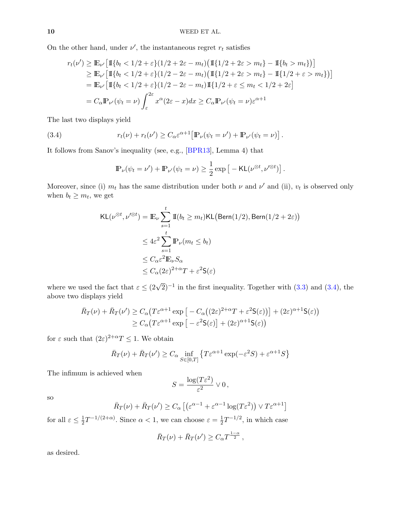On the other hand, under  $\nu'$ , the instantaneous regret  $r_t$  satisfies

$$
r_t(\nu') \geq \mathbb{E}_{\nu'} \Big[ \mathbb{I}\{b_t < 1/2 + \varepsilon\} (1/2 + 2\varepsilon - m_t) \big( \mathbb{I}\{1/2 + 2\varepsilon > m_t\} - \mathbb{I}\{b_t > m_t\} \big) \Big] \geq \mathbb{E}_{\nu'} \Big[ \mathbb{I}\{b_t < 1/2 + \varepsilon\} (1/2 - 2\varepsilon - m_t) \big( \mathbb{I}\{1/2 + 2\varepsilon > m_t\} - \mathbb{I}\{1/2 + \varepsilon > m_t\} \big) \Big] = \mathbb{E}_{\nu'} \Big[ \mathbb{I}\{b_t < 1/2 + \varepsilon\} (1/2 - 2\varepsilon - m_t) \mathbb{I}\{1/2 + \varepsilon \leq m_t < 1/2 + 2\varepsilon\} = C_{\alpha} \mathbb{P}_{\nu'}(\psi_t = \nu) \int_{\varepsilon}^{2\varepsilon} x^{\alpha} (2\varepsilon - x) dx \geq C_{\alpha} \mathbb{P}_{\nu'}(\psi_t = \nu) \varepsilon^{\alpha + 1}
$$

The last two displays yield

(3.4) 
$$
r_t(\nu) + r_t(\nu') \geq C_{\alpha} \varepsilon^{\alpha+1} \left[ \mathbb{P}_{\nu}(\psi_t = \nu') + \mathbb{P}_{\nu'}(\psi_t = \nu) \right].
$$

It follows from Sanov's inequality (see, e.g., [\[BPR13\]](#page-21-13), Lemma 4) that

<span id="page-9-0"></span>
$$
\mathbb{P}_{\nu}(\psi_t = \nu') + \mathbb{P}_{\nu'}(\psi_t = \nu) \ge \frac{1}{2} \exp \left[ -\mathsf{KL}(\nu^{\otimes t}, \nu'^{\otimes t}) \right].
$$

Moreover, since (i)  $m_t$  has the same distribution under both  $\nu$  and  $\nu'$  and (ii),  $v_t$  is observed only when  $b_t \geq m_t$ , we get

$$
\begin{split} \mathsf{KL}(\nu^{\otimes t}, \nu'^{\otimes t}) &= \mathbb{E}_{\nu} \sum_{s=1}^{t} \mathbb{I}(b_{t} \geq m_{t}) \mathsf{KL}\big(\mathsf{Bern}(1/2), \mathsf{Bern}(1/2 + 2\varepsilon)\big) \\ &\leq 4\varepsilon^{2} \sum_{s=1}^{t} \mathbb{P}_{\nu}(m_{t} \leq b_{t}) \\ &\leq C_{\alpha} \varepsilon^{2} \mathbb{E}_{\nu} S_{\alpha} \\ &\leq C_{\alpha} (2\varepsilon)^{2+\alpha} T + \varepsilon^{2} \mathsf{S}(\varepsilon) \end{split}
$$

where we used the fact that  $\varepsilon \leq (2\sqrt{2})^{-1}$  in the first inequality. Together with [\(3.3\)](#page-8-1) and [\(3.4\)](#page-9-0), the above two displays yield

$$
\bar{R}_T(\nu) + \bar{R}_T(\nu') \ge C_\alpha \left( T \varepsilon^{\alpha+1} \exp \left[ -C_\alpha \left( (2\varepsilon)^{2+\alpha} T + \varepsilon^2 \mathsf{S}(\varepsilon) \right) \right] + (2\varepsilon)^{\alpha+1} \mathsf{S}(\varepsilon) \right)
$$
\n
$$
\ge C_\alpha \left( T \varepsilon^{\alpha+1} \exp \left[ -\varepsilon^2 \mathsf{S}(\varepsilon) \right] + (2\varepsilon)^{\alpha+1} \mathsf{S}(\varepsilon) \right)
$$

for  $\varepsilon$  such that  $(2\varepsilon)^{2+\alpha}T \leq 1$ . We obtain

$$
\bar{R}_T(\nu) + \bar{R}_T(\nu') \ge C_\alpha \inf_{S \in [0,T]} \left\{ T \varepsilon^{\alpha+1} \exp(-\varepsilon^2 S) + \varepsilon^{\alpha+1} S \right\}
$$

The infimum is achieved when

$$
S = \frac{\log(T\varepsilon^2)}{\varepsilon^2} \vee 0,
$$

so

$$
\bar{R}_T(\nu) + \bar{R}_T(\nu') \ge C_\alpha \left[ \left( \varepsilon^{\alpha - 1} + \varepsilon^{\alpha - 1} \log(T\varepsilon^2) \right) \vee T\varepsilon^{\alpha + 1} \right]
$$

for all  $\varepsilon \leq \frac{1}{2}$  $\frac{1}{2}T^{-1/(2+\alpha)}$ . Since  $\alpha < 1$ , we can choose  $\varepsilon = \frac{1}{2}$  $\frac{1}{2}T^{-1/2}$ , in which case

$$
\bar{R}_T(\nu) + \bar{R}_T(\nu') \ge C_\alpha T^{\frac{1-\alpha}{2}},
$$

as desired.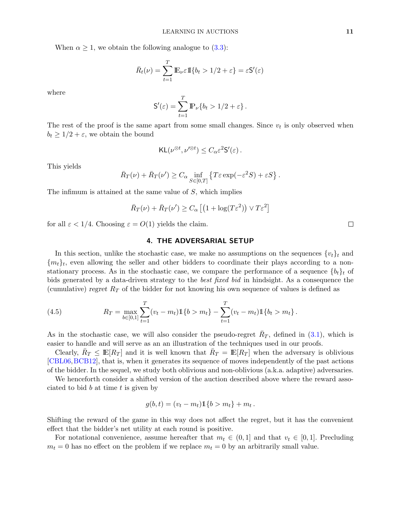When  $\alpha \geq 1$ , we obtain the following analogue to [\(3.3\)](#page-8-1):

$$
\bar{R}_t(\nu) = \sum_{t=1}^T \mathbb{E}_{\nu} \varepsilon \mathbb{I}\{b_t > 1/2 + \varepsilon\} = \varepsilon \mathsf{S}'(\varepsilon)
$$

where

$$
\mathsf{S}'(\varepsilon) = \sum_{t=1}^T \mathbb{P}_{\nu} \{ b_t > 1/2 + \varepsilon \}.
$$

The rest of the proof is the same apart from some small changes. Since  $v_t$  is only observed when  $b_t \geq 1/2 + \varepsilon$ , we obtain the bound

$$
\mathsf{KL}(\nu^{\otimes t}, \nu'^{\otimes t}) \leq C_{\alpha} \varepsilon^2 \mathsf{S}'(\varepsilon).
$$

This yields

$$
\bar{R}_T(\nu) + \bar{R}_T(\nu') \ge C_\alpha \inf_{S \in [0,T]} \left\{ T \varepsilon \exp(-\varepsilon^2 S) + \varepsilon S \right\}.
$$

The infimum is attained at the same value of S, which implies

$$
\bar{R}_T(\nu) + \bar{R}_T(\nu') \ge C_\alpha \left[ \left( 1 + \log(T\varepsilon^2) \right) \vee T\varepsilon^2 \right]
$$

<span id="page-10-0"></span>for all  $\varepsilon < 1/4$ . Choosing  $\varepsilon = O(1)$  yields the claim.

# 4. THE ADVERSARIAL SETUP

In this section, unlike the stochastic case, we make no assumptions on the sequences  $\{v_t\}_t$  and  ${m_t}_t$ , even allowing the seller and other bidders to coordinate their plays according to a nonstationary process. As in the stochastic case, we compare the performance of a sequence  $\{b_t\}_t$  of bids generated by a data-driven strategy to the best fixed bid in hindsight. As a consequence the (cumulative) regret  $R_T$  of the bidder for not knowing his own sequence of values is defined as

(4.5) 
$$
R_T = \max_{b \in [0,1]} \sum_{t=1}^T (v_t - m_t) \mathbb{1}\{b > m_t\} - \sum_{t=1}^T (v_t - m_t) \mathbb{1}\{b_t > m_t\}.
$$

As in the stochastic case, we will also consider the pseudo-regret  $\bar{R}_T$ , defined in [\(3.1\)](#page-3-3), which is easier to handle and will serve as an an illustration of the techniques used in our proofs.

Clearly,  $\bar{R}_T \leq \mathbb{E}[R_T]$  and it is well known that  $\bar{R}_T = \mathbb{E}[R_T]$  when the adversary is oblivious [\[CBL06,](#page-21-11)[BCB12\]](#page-21-7), that is, when it generates its sequence of moves independently of the past actions of the bidder. In the sequel, we study both oblivious and non-oblivious (a.k.a. adaptive) adversaries.

We henceforth consider a shifted version of the auction described above where the reward associated to bid  $b$  at time  $t$  is given by

$$
g(b, t) = (v_t - m_t) \mathbb{1}\{b > m_t\} + m_t.
$$

Shifting the reward of the game in this way does not affect the regret, but it has the convenient effect that the bidder's net utility at each round is positive.

For notational convenience, assume hereafter that  $m_t \in (0,1]$  and that  $v_t \in [0,1]$ . Precluding  $m_t = 0$  has no effect on the problem if we replace  $m_t = 0$  by an arbitrarily small value.

 $\Box$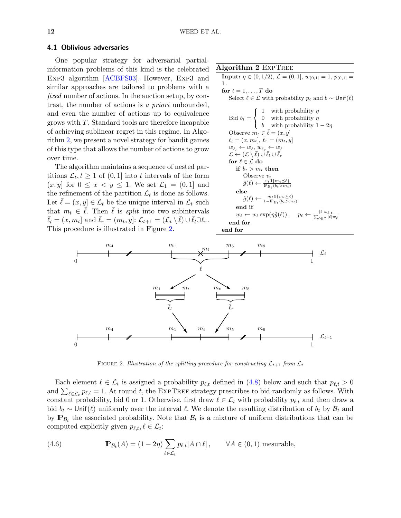#### 4.1 Oblivious adversaries

One popular strategy for adversarial partialinformation problems of this kind is the celebrated EXP3 algorithm [\[ACBFS03\]](#page-21-14). However, EXP3 and similar approaches are tailored to problems with a fixed number of actions. In the auction setup, by contrast, the number of actions is a priori unbounded, and even the number of actions up to equivalence grows with T. Standard tools are therefore incapable of achieving sublinear regret in this regime. In Algorithm [2,](#page-11-0) we present a novel strategy for bandit games of this type that allows the number of actions to grow over time.

The algorithm maintains a sequence of nested partitions  $\mathcal{L}_t, t \geq 1$  of  $(0, 1]$  into t intervals of the form  $(x, y]$  for  $0 \leq x < y \leq 1$ . We set  $\mathcal{L}_1 = (0, 1]$  and the refinement of the partition  $\mathcal{L}_t$  is done as follows. Let  $\ell = (x, y] \in \mathcal{L}_t$  be the unique interval in  $\mathcal{L}_t$  such that  $m_t \in \overline{\ell}$ . Then  $\overline{\ell}$  is *split* into two subintervals  $\bar{\ell}_l = (x, m_t]$  and  $\bar{\ell}_r = (m_t, y]$ :  $\mathcal{L}_{t+1} = (\mathcal{L}_t \setminus \bar{\ell}) \cup \bar{\ell}_l \bar{\cup} \ell_r$ . This procedure is illustrated in Figure [2.](#page-11-1)

# Algorithm 2 EXPTREE

**Input:**  $\eta \in (0, 1/2), \mathcal{L} = (0, 1], w_{(0, 1)} = 1, p_{(0, 1)} =$ 1 . for  $t = 1, \ldots, T$  do Select  $\ell \in \mathcal{L}$  with probability  $p_{\ell}$  and  $b \sim$  Unif( $\ell$ ) Bid  $b_t =$  $\sqrt{ }$ J  $\mathcal{L}$ 1 with probability  $\eta$ 0 with probability  $\eta$ b with probability  $1 - 2\eta$ Observe  $m_t \in \overline{\ell} = (x, y]$  $\bar{\ell}_l = (x, m_t], \bar{\ell}_r = (m_t, y]$  $w_{\bar{\ell}_l} \leftarrow w_{\bar{\ell}}, w_{\bar{\ell}_r} \leftarrow w_{\bar{\ell}}$  $\mathcal{L} \leftarrow (\mathcal{L} \setminus \bar{\ell}) \cup \bar{\ell}_l \cup \bar{\ell}_r$ for  $\ell \in \mathcal{L}$  do if  $b_t > m_t$  then Observe  $v_t$  $\hat{g}(\ell) \leftarrow \frac{v_t \mathbb{I}\{m_t \preceq \ell\}}{\mathbb{P}_{\mathcal{B}_t}(b_t > m_t)}$ else  $\hat{g}(\ell) \leftarrow \frac{m_t \mathbb{1}\{m_t \succeq \ell\}}{1-\mathbb{P}_P \left(h_t > m\right)}$  $1-\mathbb{P}_{\mathcal{B}_t}$  $(b_t>m_t)$ end if  $w_{\ell} \leftarrow w_{\ell} \exp(\eta \hat{g}(\ell))$ ,  $|\ell|w_{\ell,t}$  $_{\ell \in \mathcal{L}} |\ell| w_{\ell}$ end for end for

<span id="page-11-0"></span>

FIGURE 2. Illustration of the splitting procedure for constructing  $\mathcal{L}_{t+1}$  from  $\mathcal{L}_t$ 

<span id="page-11-1"></span>Each element  $\ell \in \mathcal{L}_t$  is assigned a probability  $p_{\ell,t}$  defined in [\(4.8\)](#page-12-0) below and such that  $p_{\ell,t} > 0$ and  $\sum_{\ell \in \mathcal{L}_t} p_{\ell,t} = 1$ . At round t, the EXPTREE strategy prescribes to bid randomly as follows. With constant probability, bid 0 or 1. Otherwise, first draw  $\ell \in \mathcal{L}_t$  with probability  $p_{\ell,t}$  and then draw a bid  $b_t \sim$  Unif( $\ell$ ) uniformly over the interval  $\ell$ . We denote the resulting distribution of  $b_t$  by  $\mathcal{B}_t$  and by  $\mathbb{P}_{\mathcal{B}_t}$  the associated probability. Note that  $\mathcal{B}_t$  is a mixture of uniform distributions that can be computed explicitly given  $p_{\ell,t}, \ell \in \mathcal{L}_t$ :

<span id="page-11-2"></span>(4.6) 
$$
\mathbb{P}_{\mathcal{B}_t}(A) = (1 - 2\eta) \sum_{\ell \in \mathcal{L}_t} p_{\ell,t} |A \cap \ell|, \quad \forall A \in (0,1) \text{ mesurable},
$$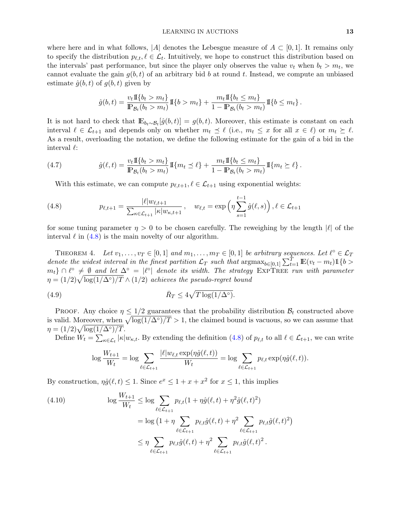where here and in what follows, |A| denotes the Lebesgue measure of  $A \subset [0,1]$ . It remains only to specify the distribution  $p_{\ell,t}, \ell \in \mathcal{L}_t$ . Intuitively, we hope to construct this distribution based on the intervals' past performance, but since the player only observes the value  $v_t$  when  $b_t > m_t$ , we cannot evaluate the gain  $g(b, t)$  of an arbitrary bid b at round t. Instead, we compute an unbiased estimate  $\hat{g}(b, t)$  of  $g(b, t)$  given by

$$
\hat{g}(b,t) = \frac{v_t \, \text{I}\{b_t > m_t\}}{\mathbb{P}_{\mathcal{B}_t}(b_t > m_t)} \, \text{I}\{b > m_t\} + \frac{m_t \, \text{I}\{b_t \le m_t\}}{1 - \mathbb{P}_{\mathcal{B}_t}(b_t > m_t)} \, \text{I}\{b \le m_t\} \, .
$$

It is not hard to check that  $\mathbb{E}_{b_t \sim \mathcal{B}_t}[\hat{g}(b,t)] = g(b,t)$ . Moreover, this estimate is constant on each interval  $\ell \in \mathcal{L}_{t+1}$  and depends only on whether  $m_t \preceq \ell$  (i.e.,  $m_t \leq x$  for all  $x \in \ell$ ) or  $m_t \succeq \ell$ . As a result, overloading the notation, we define the following estimate for the gain of a bid in the interval  $\ell$ :

(4.7) 
$$
\hat{g}(\ell, t) = \frac{v_t \, \text{I}\{b_t > m_t\}}{\mathbb{P}_{\mathcal{B}_t}(b_t > m_t)} \, \text{I}\{m_t \leq \ell\} + \frac{m_t \, \text{I}\{b_t \leq m_t\}}{1 - \mathbb{P}_{\mathcal{B}_t}(b_t > m_t)} \, \text{I}\{m_t \geq \ell\}.
$$

<span id="page-12-1"></span><span id="page-12-0"></span>With this estimate, we can compute  $p_{\ell,t+1}, \ell \in \mathcal{L}_{t+1}$  using exponential weights:

(4.8) 
$$
p_{\ell,t+1} = \frac{|\ell|w_{\ell,t+1}}{\sum_{\kappa \in \mathcal{L}_{t+1}} |\kappa|w_{\kappa,t+1}}, \quad w_{\ell,t} = \exp\left(\eta \sum_{s=1}^{t-1} \hat{g}(\ell, s)\right), \ell \in \mathcal{L}_{t+1}
$$

for some tuning parameter  $\eta > 0$  to be chosen carefully. The reweighing by the length  $|\ell|$  of the interval  $\ell$  in [\(4.8\)](#page-12-0) is the main novelty of our algorithm.

<span id="page-12-3"></span>THEOREM 4. Let  $v_1, \ldots, v_T \in [0,1]$  and  $m_1, \ldots, m_T \in [0,1]$  be arbitrary sequences. Let  $\ell^{\circ} \in \mathcal{L}_T$ denote the widest interval in the finest partition  $\mathcal{L}_T$  such that  $\arg \max_{b \in [0,1]} \sum_{t=1}^T \mathbb{E}(v_t - m_t) \mathbb{1}\{b >$  $m_t$ }  $\cap \ell^{\circ} \neq \emptyset$  and let  $\Delta^{\circ} = |\ell^{\circ}|$  denote its width. The strategy EXPTREE run with parameter  $\eta = (1/2)\sqrt{\log(1/\Delta°)/T} \wedge (1/2)$  achieves the pseudo-regret bound

(4.9) 
$$
\bar{R}_T \le 4\sqrt{T \log(1/\Delta^\circ)}.
$$

PROOF. Any choice  $\eta \leq 1/2$  guarantees that the probability distribution  $\mathcal{B}_t$  constructed above is valid. Moreover, when  $\sqrt{\log(1/\Delta^{\circ})/T} > 1$ , the claimed bound is vacuous, so we can assume that  $\eta = (1/2)\sqrt{\log(1/\Delta^{\circ})/T}.$ 

Define  $W_t = \sum_{\kappa \in \mathcal{L}_t} |\kappa| w_{\kappa,t}$ . By extending the definition  $(4.8)$  of  $p_{\ell,t}$  to all  $\ell \in \mathcal{L}_{t+1}$ , we can write

$$
\log \frac{W_{t+1}}{W_t} = \log \sum_{\ell \in \mathcal{L}_{t+1}} \frac{|\ell| w_{\ell,t} \exp(\eta \hat{g}(\ell,t))}{W_t} = \log \sum_{\ell \in \mathcal{L}_{t+1}} p_{\ell,t} \exp(\eta \hat{g}(\ell,t)).
$$

By construction,  $\eta \hat{g}(\ell, t) \leq 1$ . Since  $e^x \leq 1 + x + x^2$  for  $x \leq 1$ , this implies

<span id="page-12-2"></span>(4.10) 
$$
\log \frac{W_{t+1}}{W_t} \le \log \sum_{\ell \in \mathcal{L}_{t+1}} p_{\ell,t} (1 + \eta \hat{g}(\ell, t) + \eta^2 \hat{g}(\ell, t)^2) \n= \log (1 + \eta \sum_{\ell \in \mathcal{L}_{t+1}} p_{\ell,t} \hat{g}(\ell, t) + \eta^2 \sum_{\ell \in \mathcal{L}_{t+1}} p_{\ell,t} \hat{g}(\ell, t)^2) \n\le \eta \sum_{\ell \in \mathcal{L}_{t+1}} p_{\ell,t} \hat{g}(\ell, t) + \eta^2 \sum_{\ell \in \mathcal{L}_{t+1}} p_{\ell,t} \hat{g}(\ell, t)^2.
$$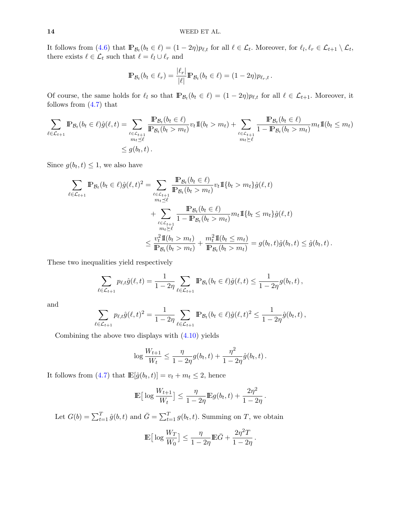It follows from [\(4.6\)](#page-11-2) that  $\mathbb{P}_{\mathcal{B}_t}(b_t \in \ell) = (1 - 2\eta)p_{\ell,t}$  for all  $\ell \in \mathcal{L}_t$ . Moreover, for  $\ell_l, \ell_r \in \mathcal{L}_{t+1} \setminus \mathcal{L}_t$ , there exists  $\ell \in \mathcal{L}_t$  such that  $\ell = \ell_l \cup \ell_r$  and

$$
\mathbb{P}_{\mathcal{B}_t}(b_t \in \ell_r) = \frac{|\ell_r|}{|\ell|} \mathbb{P}_{\mathcal{B}_t}(b_t \in \ell) = (1 - 2\eta) p_{\ell_r, t}.
$$

Of course, the same holds for  $\ell_l$  so that  $\mathbb{P}_{\mathcal{B}_t}(b_t \in \ell) = (1 - 2\eta)p_{\ell,t}$  for all  $\ell \in \mathcal{L}_{t+1}$ . Moreover, it follows from [\(4.7\)](#page-12-1) that

$$
\sum_{\ell \in \mathcal{L}_{t+1}} \mathbb{P}_{\mathcal{B}_t}(b_t \in \ell) \hat{g}(\ell, t) = \sum_{\substack{\ell \in \mathcal{L}_{t+1} \\ m_t \preceq \ell}} \frac{\mathbb{P}_{\mathcal{B}_t}(b_t \in \ell)}{\mathbb{P}_{\mathcal{B}_t}(b_t > m_t)} v_t \mathbb{I}(b_t > m_t) + \sum_{\substack{\ell \in \mathcal{L}_{t+1} \\ m_t \ge \ell}} \frac{\mathbb{P}_{\mathcal{B}_t}(b_t \in \ell)}{1 - \mathbb{P}_{\mathcal{B}_t}(b_t > m_t)} m_t \mathbb{I}(b_t \le m_t)
$$
  

$$
\le g(b_t, t).
$$

Since  $g(b_t, t) \leq 1$ , we also have

$$
\sum_{\ell \in \mathcal{L}_{t+1}} \mathbb{P}_{\mathcal{B}_t}(b_t \in \ell) \hat{g}(\ell, t)^2 = \sum_{\ell \in \mathcal{L}_{t+1}} \frac{\mathbb{P}_{\mathcal{B}_t}(b_t \in \ell)}{\mathbb{P}_{\mathcal{B}_t}(b_t > m_t)} v_t \mathbb{I}\{b_t > m_t\} \hat{g}(\ell, t) \n+ \sum_{\ell \in \mathcal{L}_{t+1}} \frac{\mathbb{P}_{\mathcal{B}_t}(b_t \in \ell)}{1 - \mathbb{P}_{\mathcal{B}_t}(b_t > m_t)} m_t \mathbb{I}\{b_t \le m_t\} \hat{g}(\ell, t) \n+ \sum_{\substack{m_t \ge \ell \\ m_t \ge \ell}} \frac{\mathbb{P}_{\mathcal{B}_t}(b_t \in \ell)}{1 - \mathbb{P}_{\mathcal{B}_t}(b_t > m_t)} m_t \mathbb{I}\{b_t \le m_t\} \hat{g}(\ell, t) \n\le \frac{v_t^2 \mathbb{I}\{b_t > m_t\}}{\mathbb{P}_{\mathcal{B}_t}(b_t > m_t)} + \frac{m_t^2 \mathbb{I}\{b_t \le m_t\}}{\mathbb{P}_{\mathcal{B}_t}(b_t > m_t)} = g(b_t, t) \hat{g}(b_t, t) \le \hat{g}(b_t, t).
$$

These two inequalities yield respectively

$$
\sum_{\ell \in \mathcal{L}_{t+1}} p_{\ell,t} \hat{g}(\ell,t) = \frac{1}{1-2\eta} \sum_{\ell \in \mathcal{L}_{t+1}} \mathbb{P}_{\mathcal{B}_t}(b_t \in \ell) \hat{g}(\ell,t) \le \frac{1}{1-2\eta} g(b_t,t),
$$

and

$$
\sum_{\ell \in \mathcal{L}_{t+1}} p_{\ell,t} \hat{g}(\ell,t)^2 = \frac{1}{1-2\eta} \sum_{\ell \in \mathcal{L}_{t+1}} \mathbb{P}_{\mathcal{B}_t}(b_t \in \ell) \hat{g}(\ell,t)^2 \leq \frac{1}{1-2\eta} \hat{g}(b_t,t),
$$

Combining the above two displays with  $(4.10)$  yields

$$
\log \frac{W_{t+1}}{W_t} \le \frac{\eta}{1 - 2\eta} g(b_t, t) + \frac{\eta^2}{1 - 2\eta} \hat{g}(b_t, t).
$$

It follows from [\(4.7\)](#page-12-1) that  $\mathbb{E}[\hat{g}(b_t,t)] = v_t + m_t \leq 2$ , hence

$$
\mathbb{E}\big[\log\frac{W_{t+1}}{W_t}\big] \le \frac{\eta}{1-2\eta} \mathbb{E}g(b_t, t) + \frac{2\eta^2}{1-2\eta}.
$$

Let  $G(b) = \sum_{t=1}^{T} \hat{g}(b, t)$  and  $\bar{G} = \sum_{t=1}^{T} g(b_t, t)$ . Summing on T, we obtain

$$
\mathop{\mathrm{I\!E}}\nolimits\big[\log\frac{W_T}{W_0}\big]\le \frac{\eta}{1-2\eta}\mathop{\mathrm{I\!E}}\nolimits\bar{G}+\frac{2\eta^2T}{1-2\eta}\,.
$$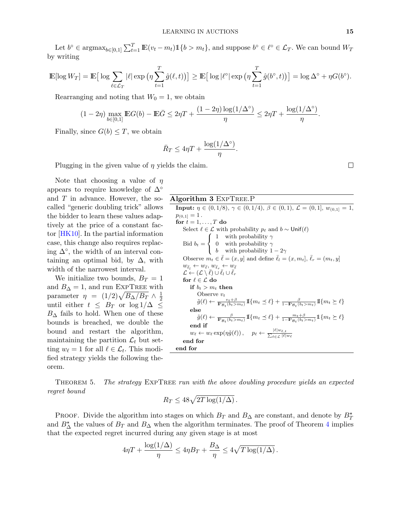Let  $b^{\circ} \in \operatorname{argmax}_{b \in [0,1]} \sum_{t=1}^{T} \mathbb{E}(v_t - m_t) \mathbb{1}\{b > m_t\}$ , and suppose  $b^{\circ} \in \ell^{\circ} \in \mathcal{L}_T$ . We can bound  $W_T$ by writing

$$
\mathbb{E}[\log W_T] = \mathbb{E}\big[\log \sum_{\ell \in \mathcal{L}_T} |\ell| \exp \big(\eta \sum_{t=1}^T \hat{g}(\ell,t)\big)\big] \ge \mathbb{E}\big[\log |\ell^{\circ}| \exp \big(\eta \sum_{t=1}^T \hat{g}(b^{\circ},t)\big)\big] = \log \Delta^{\circ} + \eta G(b^{\circ}).
$$

Rearranging and noting that  $W_0 = 1$ , we obtain

$$
(1-2\eta)\max_{b\in[0,1]}\mathbb{E}G(b)-\mathbb{E}\bar{G}\leq 2\eta T+\frac{(1-2\eta)\log(1/\Delta^{\circ})}{\eta}\leq 2\eta T+\frac{\log(1/\Delta^{\circ})}{\eta}.
$$

Finally, since  $G(b) \leq T$ , we obtain

$$
\bar{R}_T \le 4\eta T + \frac{\log(1/\Delta^\circ)}{\eta}.
$$

Plugging in the given value of  $\eta$  yields the claim.

Note that choosing a value of  $\eta$ appears to require knowledge of  $\Delta^{\circ}$ and T in advance. However, the socalled "generic doubling trick" allows the bidder to learn these values adaptively at the price of a constant factor [\[HK10\]](#page-22-13). In the partial information case, this change also requires replacing  $\Delta^{\circ}$ , the width of an interval containing an optimal bid, by  $\Delta$ , with width of the narrowest interval.

We initialize two bounds,  $B_T = 1$ and  $B_{\Delta} = 1$ , and run EXPTREE with parameter  $\eta = (1/2)\sqrt{B_{\Delta}/B_{T}} \wedge \frac{1}{2}$ 2 until either  $t \leq B_T$  or  $\log 1/\Delta \leq$  $B_{\Delta}$  fails to hold. When one of these bounds is breached, we double the bound and restart the algorithm, maintaining the partition  $\mathcal{L}_t$  but setting  $w_{\ell} = 1$  for all  $\ell \in \mathcal{L}_t$ . This modified strategy yields the following theorem.

Algorithm 3 ExpTree.P

**Input:**  $\eta \in (0, 1/8), \gamma \in (0, 1/4), \beta \in (0, 1), \mathcal{L} = (0, 1], w_{(0, 1)} = 1,$  $p_{(0,1]}=1$ . for  $t=1,\ldots,T$  do Select  $\ell \in \mathcal{L}$  with probability  $p_{\ell}$  and  $b \sim$  Unif( $\ell$ ) Bid  $b_t =$  $\sqrt{ }$ J  $\mathcal{L}$ 1 with probability  $\gamma$ 0 with probability  $\gamma$ b with probability  $1 - 2\gamma$ Observe  $m_t \in \overline{\ell} = (x, y]$  and define  $\overline{\ell}_l = (x, m_t], \overline{\ell}_r = (m_t, y]$  $w_{\bar{\ell}_l} \leftarrow w_{\bar{\ell}}, w_{\bar{\ell}_r} \leftarrow w_{\bar{\ell}}$  $\mathcal{L} \leftarrow (\mathcal{L} \setminus \bar{\ell}) \cup \bar{\ell}_l \cup \bar{\ell}_r$ for  $\ell \in \mathcal{L}$  do if  $b_t > m_t$  then Observe  $v_t$  $\tilde{g}(\ell) \leftarrow \frac{v_t + \beta}{\mathbb{P}_{\mathcal{B}_t}(b_t > m_t)} \, \mathbb{I}\{m_t \preceq \ell\} + \frac{\beta}{1 - \mathbb{P}_{\mathcal{B}_t}(b_t > m_t)} \, \mathbb{I}\{m_t \succeq \ell\}$ else  $\tilde{g}(\ell) \leftarrow \frac{\beta}{\mathbb{P}_{B_t}(b_t > m_t)} \mathbb{I}\{m_t \preceq \ell\} + \frac{m_t + \beta}{1 - \mathbb{P}_{B_t}(b_t > m_t)} \mathbb{1}\{m_t \succeq \ell\}$ end if  $w_{\ell} \leftarrow w_{\ell} \exp(\eta \tilde{g}(\ell))$ ,  $p_{\ell} \leftarrow \frac{|\ell|w_{\ell,t}}{\sum_{\ell \in \mathcal{L}} |\ell|}$  $_{\ell\in\mathcal{L}}$   $|\ell|w_{\ell}$ end for end for

THEOREM 5. The strategy EXPTREE run with the above doubling procedure yields an expected regret bound

<span id="page-14-0"></span>
$$
R_T \le 48\sqrt{2T\log(1/\Delta)}.
$$

PROOF. Divide the algorithm into stages on which  $B_T$  and  $B_\Delta$  are constant, and denote by  $B_T^*$ and  $B_{\Delta}^*$  the values of  $B_T$  and  $B_{\Delta}$  when the algorithm terminates. The proof of Theorem [4](#page-12-3) implies that the expected regret incurred during any given stage is at most

$$
4\eta T + \frac{\log(1/\Delta)}{\eta} \le 4\eta B_T + \frac{B_\Delta}{\eta} \le 4\sqrt{T \log(1/\Delta)}.
$$

 $\Box$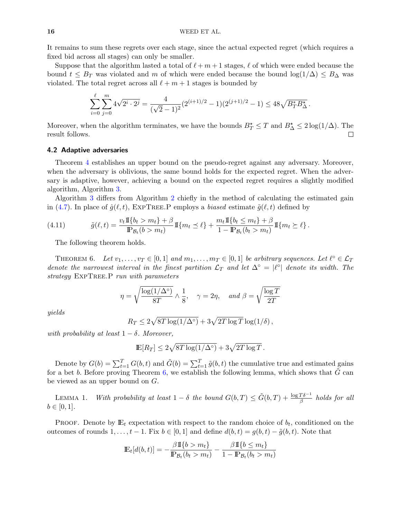It remains to sum these regrets over each stage, since the actual expected regret (which requires a fixed bid across all stages) can only be smaller.

Suppose that the algorithm lasted a total of  $\ell + m + 1$  stages,  $\ell$  of which were ended because the bound  $t \leq B_T$  was violated and m of which were ended because the bound  $\log(1/\Delta) \leq B_\Delta$  was violated. The total regret across all  $\ell + m + 1$  stages is bounded by

$$
\sum_{i=0}^{\ell} \sum_{j=0}^{m} 4\sqrt{2^i \cdot 2^j} = \frac{4}{(\sqrt{2}-1)^2} (2^{(i+1)/2} - 1)(2^{(j+1)/2} - 1) \le 48\sqrt{B_T^* B_\Delta^*}.
$$

Moreover, when the algorithm terminates, we have the bounds  $B_T^* \leq T$  and  $B_\Delta^* \leq 2 \log(1/\Delta)$ . The result follows.  $\Box$ 

### 4.2 Adaptive adversaries

Theorem [4](#page-12-3) establishes an upper bound on the pseudo-regret against any adversary. Moreover, when the adversary is oblivious, the same bound holds for the expected regret. When the adversary is adaptive, however, achieving a bound on the expected regret requires a slightly modified algorithm, Algorithm [3.](#page-14-0)

Algorithm [3](#page-14-0) differs from Algorithm [2](#page-11-0) chiefly in the method of calculating the estimated gain in [\(4.7\)](#page-12-1). In place of  $\hat{g}(\ell, t)$ , EXPTREE. P employs a biased estimate  $\tilde{g}(\ell, t)$  defined by

(4.11) 
$$
\tilde{g}(\ell, t) = \frac{v_t \mathbb{I}\{b_t > m_t\} + \beta}{\mathbb{P}_{\mathcal{B}_t}(b > m_t)} \mathbb{I}\{m_t \leq \ell\} + \frac{m_t \mathbb{I}\{b_t \leq m_t\} + \beta}{1 - \mathbb{P}_{\mathcal{B}_t}(b_t > m_t)} \mathbb{I}\{m_t \geq \ell\}.
$$

<span id="page-15-1"></span>The following theorem holds.

<span id="page-15-0"></span>THEOREM 6. Let  $v_1, \ldots, v_T \in [0,1]$  and  $m_1, \ldots, m_T \in [0,1]$  be arbitrary sequences. Let  $\ell^{\circ} \in \mathcal{L}_T$ denote the narrowest interval in the finest partition  $\mathcal{L}_T$  and let  $\Delta^\circ = |\ell^\circ|$  denote its width. The strategy ExpTree.P run with parameters

$$
\eta = \sqrt{\frac{\log(1/\Delta^{\circ})}{8T}} \wedge \frac{1}{8}, \quad \gamma = 2\eta, \quad \text{and } \beta = \sqrt{\frac{\log T}{2T}}
$$

yields

$$
R_T \le 2\sqrt{8T \log(1/\Delta^{\circ})} + 3\sqrt{2T \log T} \log(1/\delta),
$$

with probability at least  $1 - \delta$ . Moreover,

$$
\mathbb{E}[R_T] \le 2\sqrt{8T\log(1/\Delta^\circ)} + 3\sqrt{2T\log T}.
$$

Denote by  $G(b) = \sum_{t=1}^{T} G(b, t)$  and  $\tilde{G}(b) = \sum_{t=1}^{T} \tilde{g}(b, t)$  the cumulative true and estimated gains for a bet b. Before proving Theorem [6,](#page-15-0) we establish the following lemma, which shows that  $\tilde{G}$  can be viewed as an upper bound on G.

<span id="page-15-2"></span>LEMMA 1. With probability at least  $1 - \delta$  the bound  $G(b,T) \leq \tilde{G}(b,T) + \frac{\log T \delta^{-1}}{\beta}$  holds for all  $b \in [0, 1].$ 

PROOF. Denote by  $\mathbb{E}_t$  expectation with respect to the random choice of  $b_t$ , conditioned on the outcomes of rounds  $1, \ldots, t-1$ . Fix  $b \in [0,1]$  and define  $d(b, t) = g(b, t) - \tilde{g}(b, t)$ . Note that

$$
\mathbb{E}_t[d(b,t)] = -\frac{\beta \mathbb{I}\{b > m_t\}}{\mathbb{P}_{\mathcal{B}_t}(b_t > m_t)} - \frac{\beta \mathbb{I}\{b \le m_t\}}{1 - \mathbb{P}_{\mathcal{B}_t}(b_t > m_t)}
$$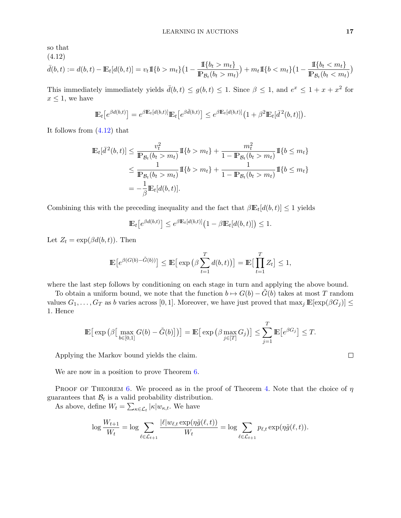so that

<span id="page-16-0"></span>(4.12)  
\n
$$
\bar{d}(b,t) := d(b,t) - \mathbb{E}_t[d(b,t)] = v_t \mathbb{I}\{b > m_t\} \left(1 - \frac{\mathbb{I}\{b_t > m_t\}}{\mathbb{P}_{\mathcal{B}_t}(b_t > m_t)}\right) + m_t \mathbb{I}\{b < m_t\} \left(1 - \frac{\mathbb{I}\{b_t < m_t\}}{\mathbb{P}_{\mathcal{B}_t}(b_t < m_t)}\right)
$$

This immediately immediately yields  $\bar{d}(b, t) \le g(b, t) \le 1$ . Since  $\beta \le 1$ , and  $e^x \le 1 + x + x^2$  for  $x \leq 1$ , we have

$$
\mathbb{E}_t\big[e^{\beta d(b,t)}\big] = e^{\beta \mathbb{E}_t\left[d(b,t)\right]} \mathbb{E}_t\big[e^{\beta \bar{d}(b,t)}\big] \leq e^{\beta \mathbb{E}_t\left[d(b,t)\right]} \big(1+\beta^2 \mathbb{E}_t\big[\bar{d}^2(b,t)\big]\big).
$$

It follows from [\(4.12\)](#page-16-0) that

$$
\mathbb{E}_{t}[\bar{d}^{2}(b,t)] \leq \frac{v_{t}^{2}}{\mathbb{P}_{\mathcal{B}_{t}}(b_{t} > m_{t})} \mathbb{I}\{b > m_{t}\} + \frac{m_{t}^{2}}{1 - \mathbb{P}_{\mathcal{B}_{t}}(b_{t} > m_{t})} \mathbb{I}\{b \leq m_{t}\}\n\n\leq \frac{1}{\mathbb{P}_{\mathcal{B}_{t}}(b_{t} > m_{t})} \mathbb{I}\{b > m_{t}\} + \frac{1}{1 - \mathbb{P}_{\mathcal{B}_{t}}(b_{t} > m_{t})} \mathbb{I}\{b \leq m_{t}\}\n\n= -\frac{1}{\beta} \mathbb{E}_{t}[d(b,t)].
$$

Combining this with the preceding inequality and the fact that  $\beta \mathbb{E}_{t}[d(b, t)] \leq 1$  yields

$$
\mathbb{E}_t\big[e^{\beta d(b,t)}\big] \leq e^{\beta \mathbb{E}_t[d(b,t)]}\big(1-\beta \mathbb{E}_t[d(b,t)]\big) \leq 1.
$$

Let  $Z_t = \exp(\beta d(b, t))$ . Then

$$
\mathbb{E}\big[e^{\beta(G(b)-\tilde{G}(b))}\big] \leq \mathbb{E}\big[\exp\big(\beta \sum_{t=1}^T d(b,t)\big)\big] = \mathbb{E}\big[\prod_{t=1}^T Z_t\big] \leq 1,
$$

where the last step follows by conditioning on each stage in turn and applying the above bound.

To obtain a uniform bound, we note that the function  $b \mapsto G(b) - G(b)$  takes at most T random values  $G_1, \ldots, G_T$  as b varies across [0, 1]. Moreover, we have just proved that  $\max_j \mathbb{E}[\exp(\beta G_j)] \leq$ 1. Hence

$$
\mathbb{E}\big[\exp\big(\beta\big[\max_{b\in[0,1]}G(b)-\tilde{G}(b)\big]\big)\big]=\mathbb{E}\big[\exp\big(\beta\max_{j\in[T]}G_j\big)\big]\leq \sum_{j=1}^T\mathbb{E}\big[e^{\beta G_j}\big]\leq T.
$$

Applying the Markov bound yields the claim.

We are now in a position to prove Theorem [6.](#page-15-0)

PROOF OF THEOREM [6.](#page-15-0) We proceed as in the proof of Theorem [4.](#page-12-3) Note that the choice of  $\eta$ guarantees that  $\mathcal{B}_t$  is a valid probability distribution. As above, define  $W_t = \sum_{\kappa \in \mathcal{L}_t} |\kappa| w_{\kappa,t}$ . We have

$$
\log \frac{W_{t+1}}{W_t} = \log \sum_{\ell \in \mathcal{L}_{t+1}} \frac{|\ell| w_{\ell,t} \exp(\eta \tilde{g}(\ell,t))}{W_t} = \log \sum_{\ell \in \mathcal{L}_{t+1}} p_{\ell,t} \exp(\eta \tilde{g}(\ell,t)).
$$

 $\Box$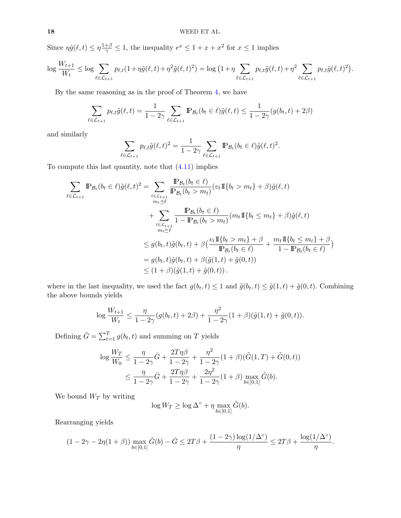Since  $\eta \tilde{g}(\ell, t) \leq \eta \frac{1+\beta}{\gamma} \leq 1$ , the inequality  $e^x \leq 1 + x + x^2$  for  $x \leq 1$  implies

$$
\log \frac{W_{t+1}}{W_t} \leq \log \sum_{\ell \in \mathcal{L}_{t+1}} p_{\ell,t} (1 + \eta \tilde{g}(\ell,t) + \eta^2 \tilde{g}(\ell,t)^2) = \log (1 + \eta \sum_{\ell \in \mathcal{L}_{t+1}} p_{\ell,t} \tilde{g}(\ell,t) + \eta^2 \sum_{\ell \in \mathcal{L}_{t+1}} p_{\ell,t} \tilde{g}(\ell,t)^2).
$$

By the same reasoning as in the proof of Theorem [4,](#page-12-3) we have

$$
\sum_{\ell \in \mathcal{L}_{t+1}} p_{\ell,t} \tilde{g}(\ell,t) = \frac{1}{1-2\gamma} \sum_{\ell \in \mathcal{L}_{t+1}} \mathbb{P}_{\mathcal{B}_t}(b_t \in \ell) \tilde{g}(\ell,t) \le \frac{1}{1-2\gamma} (g(b_t,t) + 2\beta)
$$

and similarly

$$
\sum_{\ell \in \mathcal{L}_{t+1}} p_{\ell,t} \tilde{g}(\ell,t)^2 = \frac{1}{1-2\gamma} \sum_{\ell \in \mathcal{L}_{t+1}} \mathbb{P}_{\mathcal{B}_t}(b_t \in \ell) \tilde{g}(\ell,t)^2.
$$

To compute this last quantity, note that  $(4.11)$  implies

$$
\sum_{\ell \in \mathcal{L}_{t+1}} \mathbb{P}_{\mathcal{B}_t}(b_t \in \ell) \tilde{g}(\ell, t)^2 = \sum_{\ell \in \mathcal{L}_{t+1}} \frac{\mathbb{P}_{\mathcal{B}_t}(b_t \in \ell)}{\mathbb{P}_{\mathcal{B}_t}(b_t > m_t)} (v_t \mathbb{I}\{b_t > m_t\} + \beta) \tilde{g}(\ell, t) \n+ \sum_{\substack{\ell \in \mathcal{L}_{t+1} \\ m_t \ge \ell}} \frac{\mathbb{P}_{\mathcal{B}_t}(b_t \in \ell)}{1 - \mathbb{P}_{\mathcal{B}_t}(b_t > m_t)} (m_t \mathbb{I}\{b_t \le m_t\} + \beta) \tilde{g}(\ell, t) \n= g(b_t, t) \tilde{g}(b_t, t) + \beta \left(\frac{v_t \mathbb{I}\{b_t > m_t\} + \beta}{\mathbb{P}_{\mathcal{B}_t}(b_t \in \ell)} + \frac{m_t \mathbb{I}\{b_t \le m_t\} + \beta}{1 - \mathbb{P}_{\mathcal{B}_t}(b_t \in \ell)}\right) \n= g(b_t, t) \tilde{g}(b_t, t) + \beta(\tilde{g}(1, t) + \tilde{g}(0, t)) \n\le (1 + \beta)(\tilde{g}(1, t) + \tilde{g}(0, t)).
$$

where in the last inequality, we used the fact  $g(b_t, t) \leq 1$  and  $\tilde{g}(b_t, t) \leq \tilde{g}(1, t) + \tilde{g}(0, t)$ . Combining the above bounds yields

$$
\log \frac{W_{t+1}}{W_t} \le \frac{\eta}{1-2\gamma} (g(b_t, t) + 2\beta) + \frac{\eta^2}{1-2\gamma} (1+\beta)(\tilde{g}(1, t) + \tilde{g}(0, t)).
$$

Defining  $\bar{G} = \sum_{t=1}^{T} g(b_t, t)$  and summing on T yields

$$
\log \frac{W_T}{W_0} \le \frac{\eta}{1 - 2\gamma} \bar{G} + \frac{2T\eta\beta}{1 - 2\gamma} + \frac{\eta^2}{1 - 2\gamma} (1 + \beta)(\tilde{G}(1, T) + \tilde{G}(0, t))
$$
  

$$
\le \frac{\eta}{1 - 2\gamma} \bar{G} + \frac{2T\eta\beta}{1 - 2\gamma} + \frac{2\eta^2}{1 - 2\gamma} (1 + \beta) \max_{b \in [0, 1]} \tilde{G}(b).
$$

We bound  $W_T$  by writing

$$
\log W_T \ge \log \Delta^{\circ} + \eta \max_{b \in [0,1]} \tilde{G}(b).
$$

Rearranging yields

$$
(1-2\gamma-2\eta(1+\beta))\max_{b\in[0,1]}\tilde{G}(b)-\bar{G}\leq 2T\beta+\frac{(1-2\gamma)\log(1/\Delta^{\circ})}{\eta}\leq 2T\beta+\frac{\log(1/\Delta^{\circ})}{\eta}.
$$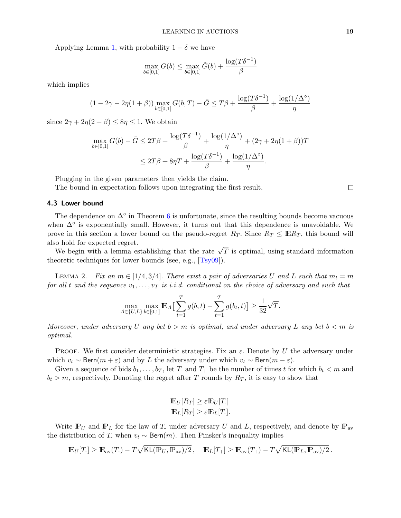Applying Lemma [1,](#page-15-2) with probability  $1 - \delta$  we have

$$
\max_{b \in [0,1]} G(b) \le \max_{b \in [0,1]} \tilde{G}(b) + \frac{\log(T\delta^{-1})}{\beta}
$$

which implies

$$
(1 - 2\gamma - 2\eta(1 + \beta)) \max_{b \in [0,1]} G(b, T) - \bar{G} \le T\beta + \frac{\log(T\delta^{-1})}{\beta} + \frac{\log(1/\Delta^{\circ})}{\eta}
$$

since  $2\gamma + 2\eta(2+\beta) \leq 8\eta \leq 1$ . We obtain

$$
\max_{b \in [0,1]} G(b) - \bar{G} \le 2T\beta + \frac{\log(T\delta^{-1})}{\beta} + \frac{\log(1/\Delta^{\circ})}{\eta} + (2\gamma + 2\eta(1+\beta))T
$$
  

$$
\le 2T\beta + 8\eta T + \frac{\log(T\delta^{-1})}{\beta} + \frac{\log(1/\Delta^{\circ})}{\eta}.
$$

Plugging in the given parameters then yields the claim.

The bound in expectation follows upon integrating the first result.

 $\Box$ 

# 4.3 Lower bound

The dependence on  $\Delta^{\circ}$  in Theorem [6](#page-15-0) is unfortunate, since the resulting bounds become vacuous when  $\Delta^{\circ}$  is exponentially small. However, it turns out that this dependence is unavoidable. We prove in this section a lower bound on the pseudo-regret  $\bar{R}_T$ . Since  $\bar{R}_T \leq \mathbb{E} R_T$ , this bound will also hold for expected regret.

to nota for expected regret.<br>We begin with a lemma establishing that the rate  $\sqrt{T}$  is optimal, using standard information theoretic techniques for lower bounds (see, e.g., [\[Tsy09\]](#page-23-5)).

<span id="page-18-0"></span>LEMMA 2. Fix an  $m \in [1/4, 3/4]$ . There exist a pair of adversaries U and L such that  $m_t = m$ for all t and the sequence  $v_1, \ldots, v_T$  is i.i.d. conditional on the choice of adversary and such that

$$
\max_{A \in \{U, L\}} \max_{b \in [0,1]} \mathbb{E}_A \big[ \sum_{t=1}^T g(b, t) - \sum_{t=1}^T g(b_t, t) \big] \ge \frac{1}{32} \sqrt{T}.
$$

Moreover, under adversary U any bet  $b > m$  is optimal, and under adversary L any bet  $b < m$  is optimal.

**PROOF.** We first consider deterministic strategies. Fix an  $\varepsilon$ . Denote by U the adversary under which  $v_t \sim \text{Bern}(m + \varepsilon)$  and by L the adversary under which  $v_t \sim \text{Bern}(m - \varepsilon)$ .

Given a sequence of bids  $b_1, \ldots, b_T$ , let T<sub>-</sub> and  $T_+$  be the number of times t for which  $b_t < m$  and  $b_t > m$ , respectively. Denoting the regret after T rounds by  $R_T$ , it is easy to show that

$$
\mathbb{E}_U[R_T] \ge \varepsilon \mathbb{E}_U[T_{\cdot}]
$$
  

$$
\mathbb{E}_L[R_T] \ge \varepsilon \mathbb{E}_L[T_{\cdot}].
$$

Write  $\mathbb{P}_U$  and  $\mathbb{P}_L$  for the law of T- under adversary U and L, respectively, and denote by  $\mathbb{P}_{av}$ the distribution of T- when  $v_t \sim \text{Bern}(m)$ . Then Pinsker's inequality implies

$$
\mathbb{E}_U[T_{\cdot}] \geq \mathbb{E}_{\text{av}}(T_{\cdot}) - T\sqrt{\text{KL}(\mathbb{P}_U, \mathbb{P}_{\text{av}})/2}, \quad \mathbb{E}_L[T_{\cdot}] \geq \mathbb{E}_{\text{av}}(T_{\cdot}) - T\sqrt{\text{KL}(\mathbb{P}_L, \mathbb{P}_{\text{av}})/2}.
$$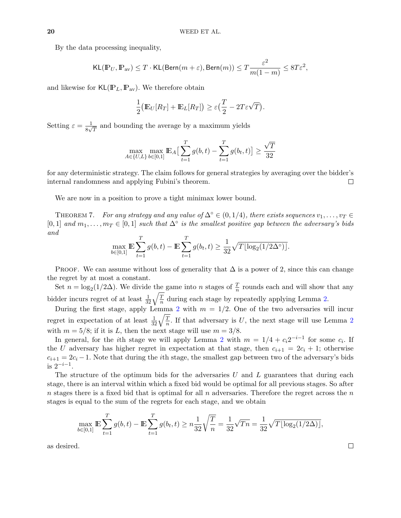By the data processing inequality,

$$
\mathsf{KL}(\mathbb{P}_U, \mathbb{P}_{\rm av}) \leq T \cdot \mathsf{KL}(\mathsf{Bern}(m+\varepsilon), \mathsf{Bern}(m)) \leq T \frac{\varepsilon^2}{m(1-m)} \leq 8T \varepsilon^2,
$$

and likewise for  $KL(\mathbb{P}_L, \mathbb{P}_{av})$ . We therefore obtain

$$
\frac{1}{2} \big( \mathbb{E}_U[R_T] + \mathbb{E}_L[R_T] \big) \ge \varepsilon \big( \frac{T}{2} - 2T \varepsilon \sqrt{T} \big).
$$

Setting  $\varepsilon = \frac{1}{8}$  $\frac{1}{8\sqrt{T}}$  and bounding the average by a maximum yields

$$
\max_{A \in \{U, L\}} \max_{b \in [0, 1]} \mathbb{E}_A \big[ \sum_{t=1}^T g(b, t) - \sum_{t=1}^T g(b_t, t) \big] \ge \frac{\sqrt{T}}{32}
$$

for any deterministic strategy. The claim follows for general strategies by averaging over the bidder's internal randomness and applying Fubini's theorem.  $\Box$ 

We are now in a position to prove a tight minimax lower bound.

THEOREM 7. For any strategy and any value of  $\Delta$ °  $\in$   $(0,1/4)$ , there exists sequences  $v_1, \ldots, v_T$ [0,1] and  $m_1, \ldots, m_T \in [0,1]$  such that  $\Delta^{\circ}$  is the smallest positive gap between the adversary's bids and

$$
\max_{b \in [0,1]} \mathbb{E} \sum_{t=1}^{T} g(b, t) - \mathbb{E} \sum_{t=1}^{T} g(b_t, t) \ge \frac{1}{32} \sqrt{T \lfloor \log_2(1/2\Delta^{\circ}) \rfloor}.
$$

PROOF. We can assume without loss of generality that  $\Delta$  is a power of 2, since this can change the regret by at most a constant.

Set  $n = \log_2(1/2\Delta)$ . We divide the game into n stages of  $\frac{T}{n}$  rounds each and will show that any bidder incurs regret of at least  $\frac{1}{32}\sqrt{\frac{T}{n}}$  $\frac{T}{n}$  during each stage by repeatedly applying Lemma [2.](#page-18-0)

During the first stage, apply Lemma [2](#page-18-0) with  $m = 1/2$ . One of the two adversaries will incur regret in expectation of at least  $\frac{1}{32}\sqrt{\frac{T}{n}}$  $\frac{T}{n}$ . If that adversary is U, the next stage will use Lemma [2](#page-18-0) with  $m = 5/8$ ; if it is L, then the next stage will use  $m = 3/8$ .

In general, for the *i*th stage we will apply Lemma [2](#page-18-0) with  $m = 1/4 + c_i 2^{-i-1}$  for some  $c_i$ . If the U adversary has higher regret in expectation at that stage, then  $c_{i+1} = 2c_i + 1$ ; otherwise  $c_{i+1} = 2c_i - 1$ . Note that during the *i*th stage, the smallest gap between two of the adversary's bids is 2−i−<sup>1</sup> .

The structure of the optimum bids for the adversaries  $U$  and  $L$  guarantees that during each stage, there is an interval within which a fixed bid would be optimal for all previous stages. So after n stages there is a fixed bid that is optimal for all n adversaries. Therefore the regret across the n stages is equal to the sum of the regrets for each stage, and we obtain

$$
\max_{b \in [0,1]} \mathbb{E} \sum_{t=1}^T g(b, t) - \mathbb{E} \sum_{t=1}^T g(b, t) \ge n \frac{1}{32} \sqrt{\frac{T}{n}} = \frac{1}{32} \sqrt{Tn} = \frac{1}{32} \sqrt{T \lfloor \log_2(1/2\Delta) \rfloor},
$$

as desired.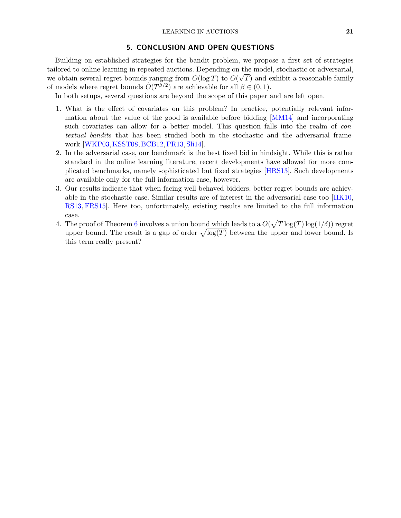# 5. CONCLUSION AND OPEN QUESTIONS

Building on established strategies for the bandit problem, we propose a first set of strategies tailored to online learning in repeated auctions. Depending on the model, stochastic or adversarial, √ we obtain several regret bounds ranging from  $O(\log T)$  to  $O(\sqrt{T})$  and exhibit a reasonable family of models where regret bounds  $\tilde{O}(T^{\beta/2})$  are achievable for all  $\beta \in (0,1)$ .

In both setups, several questions are beyond the scope of this paper and are left open.

- 1. What is the effect of covariates on this problem? In practice, potentially relevant information about the value of the good is available before bidding [\[MM14\]](#page-22-8) and incorporating such covariates can allow for a better model. This question falls into the realm of contextual bandits that has been studied both in the stochastic and the adversarial framework [\[WKP03,](#page-23-6)[KSST08,](#page-22-14)[BCB12,](#page-21-7)[PR13,](#page-23-7)[Sli14\]](#page-23-8).
- 2. In the adversarial case, our benchmark is the best fixed bid in hindsight. While this is rather standard in the online learning literature, recent developments have allowed for more complicated benchmarks, namely sophisticated but fixed strategies [\[HRS13\]](#page-22-15). Such developments are available only for the full information case, however.
- 3. Our results indicate that when facing well behaved bidders, better regret bounds are achievable in the stochastic case. Similar results are of interest in the adversarial case too [\[HK10,](#page-22-13) [RS13,](#page-23-9) [FRS15\]](#page-22-16). Here too, unfortunately, existing results are limited to the full information case.
- 4. The proof of Theorem [6](#page-15-0) involves a union bound which leads to a  $O(\sqrt{T \log(T)} \log(1/\delta))$  regret upper bound. The result is a gap of order  $\sqrt{\log(T)}$  between the upper and lower bound. Is this term really present?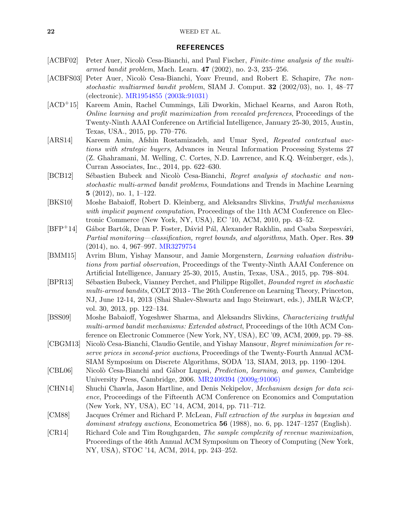# 22 WEED ET AL.

# REFERENCES

- <span id="page-21-12"></span>[ACBF02] Peter Auer, Nicolò Cesa-Bianchi, and Paul Fischer, Finite-time analysis of the multiarmed bandit problem, Mach. Learn. 47 (2002), no. 2-3, 235–256.
- <span id="page-21-14"></span>[ACBFS03] Peter Auer, Nicolò Cesa-Bianchi, Yoav Freund, and Robert E. Schapire, The nonstochastic multiarmed bandit problem, SIAM J. Comput.  $32$  (2002/03), no. 1, 48–77 (electronic). [MR1954855 \(2003k:91031\)](http://www.ams.org/mathscinet-getitem?mr=1954855)
- <span id="page-21-4"></span>[ACD+15] Kareem Amin, Rachel Cummings, Lili Dworkin, Michael Kearns, and Aaron Roth, Online learning and profit maximization from revealed preferences, Proceedings of the Twenty-Ninth AAAI Conference on Artificial Intelligence, January 25-30, 2015, Austin, Texas, USA., 2015, pp. 770–776.
- <span id="page-21-6"></span>[ARS14] Kareem Amin, Afshin Rostamizadeh, and Umar Syed, Repeated contextual auctions with strategic buyers, Advances in Neural Information Processing Systems 27 (Z. Ghahramani, M. Welling, C. Cortes, N.D. Lawrence, and K.Q. Weinberger, eds.), Curran Associates, Inc., 2014, pp. 622–630.
- <span id="page-21-7"></span>[BCB12] Sébastien Bubeck and Nicolò Cesa-Bianchi, Regret analysis of stochastic and nonstochastic multi-armed bandit problems, Foundations and Trends in Machine Learning 5 (2012), no. 1, 1–122.
- <span id="page-21-8"></span>[BKS10] Moshe Babaioff, Robert D. Kleinberg, and Aleksandrs Slivkins, Truthful mechanisms with implicit payment computation, Proceedings of the 11th ACM Conference on Electronic Commerce (New York, NY, USA), EC '10, ACM, 2010, pp. 43–52.
- <span id="page-21-10"></span>[BFP<sup>+</sup>14] Gábor Bartók, Dean P. Foster, Dávid Pál, Alexander Rakhlin, and Csaba Szepesvári, Partial monitoring—classification, regret bounds, and algorithms, Math. Oper. Res. 39 (2014), no. 4, 967–997. [MR3279754](http://www.ams.org/mathscinet-getitem?mr=3279754)
- <span id="page-21-5"></span>[BMM15] Avrim Blum, Yishay Mansour, and Jamie Morgenstern, Learning valuation distributions from partial observation, Proceedings of the Twenty-Ninth AAAI Conference on Artificial Intelligence, January 25-30, 2015, Austin, Texas, USA., 2015, pp. 798–804.
- <span id="page-21-13"></span>[BPR13] Sébastien Bubeck, Vianney Perchet, and Philippe Rigollet, Bounded regret in stochastic multi-armed bandits, COLT 2013 - The 26th Conference on Learning Theory, Princeton, NJ, June 12-14, 2013 (Shai Shalev-Shwartz and Ingo Steinwart, eds.), JMLR W&CP, vol. 30, 2013, pp. 122–134.
- <span id="page-21-9"></span>[BSS09] Moshe Babaioff, Yogeshwer Sharma, and Aleksandrs Slivkins, Characterizing truthful multi-armed bandit mechanisms: Extended abstract, Proceedings of the 10th ACM Conference on Electronic Commerce (New York, NY, USA), EC '09, ACM, 2009, pp. 79–88.
- <span id="page-21-1"></span>[CBGM13] Nicolò Cesa-Bianchi, Claudio Gentile, and Yishay Mansour, Regret minimization for reserve prices in second-price auctions, Proceedings of the Twenty-Fourth Annual ACM-SIAM Symposium on Discrete Algorithms, SODA '13, SIAM, 2013, pp. 1190–1204.
- <span id="page-21-11"></span>[CBL06] Nicolò Cesa-Bianchi and Gábor Lugosi, *Prediction, learning, and games*, Cambridge University Press, Cambridge, 2006. [MR2409394 \(2009g:91006\)](http://www.ams.org/mathscinet-getitem?mr=2409394)
- <span id="page-21-2"></span>[CHN14] Shuchi Chawla, Jason Hartline, and Denis Nekipelov, Mechanism design for data science, Proceedings of the Fifteenth ACM Conference on Economics and Computation (New York, NY, USA), EC '14, ACM, 2014, pp. 711–712.
- <span id="page-21-0"></span>[CM88] Jacques Crémer and Richard P. McLean, Full extraction of the surplus in bayesian and dominant strategy auctions, Econometrica  $56$  (1988), no. 6, pp. 1247–1257 (English).
- <span id="page-21-3"></span>[CR14] Richard Cole and Tim Roughgarden, The sample complexity of revenue maximization, Proceedings of the 46th Annual ACM Symposium on Theory of Computing (New York, NY, USA), STOC '14, ACM, 2014, pp. 243–252.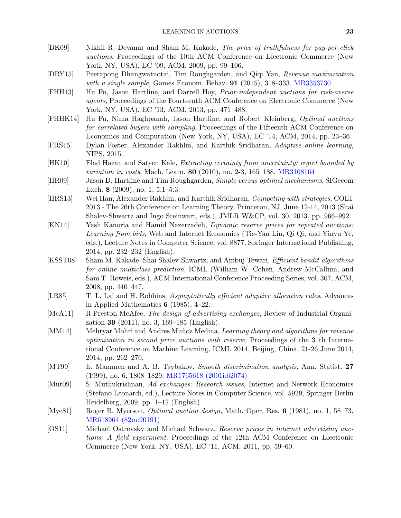<span id="page-22-10"></span>

| [DK09]  | Nikhil R. Devanur and Sham M. Kakade, The price of truthfulness for pay-per-click    |
|---------|--------------------------------------------------------------------------------------|
|         | <i>auctions</i> , Proceedings of the 10th ACM Conference on Electronic Commerce (New |
|         | York, NY, USA), EC '09, ACM, 2009, pp. 99–106.                                       |
| [ADV15] | Deepengus Dhangwatnatai Tim Deushsandan and Oisi Van Devenue maximisation            |

- <span id="page-22-7"></span>[DRY15] Peerapong Dhangwatnotai, Tim Roughgarden, and Qiqi Yan, Revenue maximization with a single sample, Games Econom. Behav. **91** (2015), 318–333. [MR3353730](http://www.ams.org/mathscinet-getitem?mr=3353730)
- <span id="page-22-3"></span>[FHH13] Hu Fu, Jason Hartline, and Darrell Hoy, Prior-independent auctions for risk-averse agents, Proceedings of the Fourteenth ACM Conference on Electronic Commerce (New York, NY, USA), EC '13, ACM, 2013, pp. 471–488.
- <span id="page-22-4"></span>[FHHK14] Hu Fu, Nima Haghpanah, Jason Hartline, and Robert Kleinberg, Optimal auctions for correlated buyers with sampling, Proceedings of the Fifteenth ACM Conference on Economics and Computation (New York, NY, USA), EC '14, ACM, 2014, pp. 23–36.
- <span id="page-22-16"></span>[FRS15] Dylan Foster, Alexander Rakhlin, and Karthik Sridharan, Adaptive online learning, NIPS, 2015.
- <span id="page-22-13"></span>[HK10] Elad Hazan and Satyen Kale, Extracting certainty from uncertainty: regret bounded by variation in costs, Mach. Learn. 80 (2010), no. 2-3, 165-188. [MR3108164](http://www.ams.org/mathscinet-getitem?mr=3108164)
- <span id="page-22-2"></span>[HR09] Jason D. Hartline and Tim Roughgarden, Simple versus optimal mechanisms, SIGecom Exch. 8 (2009), no. 1, 5:1–5:3.
- <span id="page-22-15"></span>[HRS13] Wei Han, Alexander Rakhlin, and Karthik Sridharan, Competing with strategies, COLT 2013 - The 26th Conference on Learning Theory, Princeton, NJ, June 12-14, 2013 (Shai Shalev-Shwartz and Ingo Steinwart, eds.), JMLR W&CP, vol. 30, 2013, pp. 966–992.
- <span id="page-22-6"></span>[KN14] Yash Kanoria and Hamid Nazerzadeh, Dynamic reserve prices for repeated auctions: Learning from bids, Web and Internet Economics (Tie-Yan Liu, Qi Qi, and Yinyu Ye, eds.), Lecture Notes in Computer Science, vol. 8877, Springer International Publishing, 2014, pp. 232–232 (English).
- <span id="page-22-14"></span>[KSST08] Sham M. Kakade, Shai Shalev-Shwartz, and Ambuj Tewari, Efficient bandit algorithms for online multiclass prediction, ICML (William W. Cohen, Andrew McCallum, and Sam T. Roweis, eds.), ACM International Conference Proceeding Series, vol. 307, ACM, 2008, pp. 440–447.
- <span id="page-22-11"></span>[LR85] T. L. Lai and H. Robbins, *Asymptotically efficient adaptive allocation rules*, Advances in Applied Mathematics  $6$  (1985), 4-22.
- <span id="page-22-9"></span>[McA11] R.Preston McAfee, The design of advertising exchanges, Review of Industrial Organization 39 (2011), no. 3, 169–185 (English).
- <span id="page-22-8"></span>[MM14] Mehryar Mohri and Andres Muñoz Medina, Learning theory and algorithms for revenue optimization in second price auctions with reserve, Proceedings of the 31th International Conference on Machine Learning, ICML 2014, Beijing, China, 21-26 June 2014, 2014, pp. 262–270.
- <span id="page-22-12"></span>[MT99] E. Mammen and A. B. Tsybakov, Smooth discrimination analysis, Ann. Statist. 27 (1999), no. 6, 1808–1829. [MR1765618 \(2001i:62074\)](http://www.ams.org/mathscinet-getitem?mr=MR1765618)
- <span id="page-22-0"></span>[Mut09] S. Muthukrishnan, Ad exchanges: Research issues, Internet and Network Economics (Stefano Leonardi, ed.), Lecture Notes in Computer Science, vol. 5929, Springer Berlin Heidelberg, 2009, pp. 1–12 (English).
- <span id="page-22-1"></span>[Mye81] Roger B. Myerson, Optimal auction design, Math. Oper. Res. 6 (1981), no. 1, 58–73. [MR618964 \(82m:90191\)](http://www.ams.org/mathscinet-getitem?mr=618964)
- <span id="page-22-5"></span>[OS11] Michael Ostrovsky and Michael Schwarz, Reserve prices in internet advertising auctions: A field experiment, Proceedings of the 12th ACM Conference on Electronic Commerce (New York, NY, USA), EC '11, ACM, 2011, pp. 59–60.